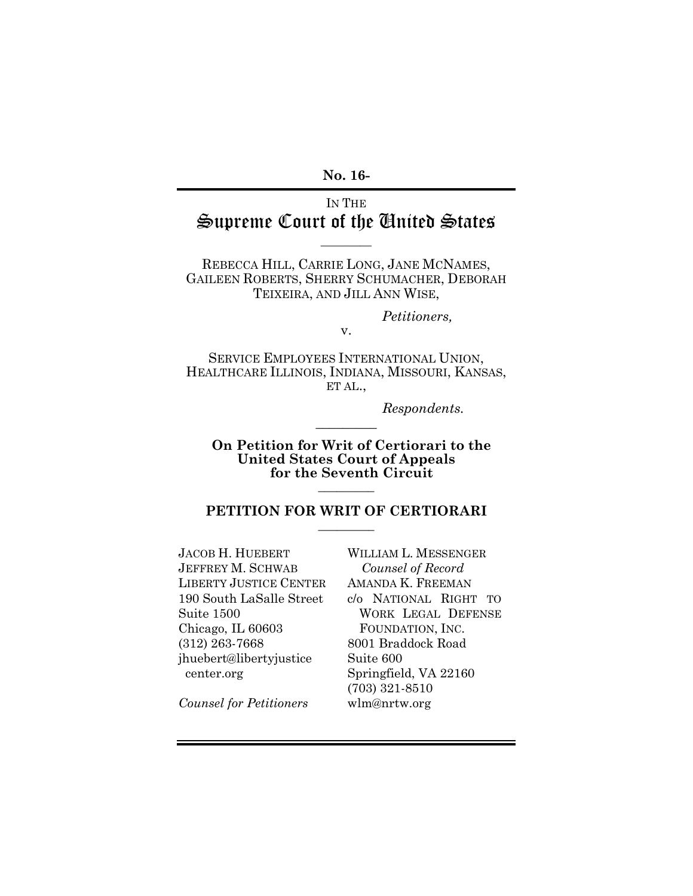**No. 16-**

## IN THE Supreme Court of the United States

 $\overline{\phantom{a}}$ 

REBECCA HILL, CARRIE LONG, JANE MCNAMES, GAILEEN ROBERTS, SHERRY SCHUMACHER, DEBORAH TEIXEIRA, AND JILL ANN WISE,

*Petitioners,*

SERVICE EMPLOYEES INTERNATIONAL UNION, HEALTHCARE ILLINOIS, INDIANA, MISSOURI, KANSAS, ET AL.,

 $\overline{\phantom{a}}$ 

v.

*Respondents.*

**On Petition for Writ of Certiorari to the United States Court of Appeals for the Seventh Circuit**

#### **PETITION FOR WRIT OF CERTIORARI**  $\frac{1}{2}$

 $\overline{\phantom{a}}$  ,  $\overline{\phantom{a}}$  ,  $\overline{\phantom{a}}$  ,  $\overline{\phantom{a}}$  ,  $\overline{\phantom{a}}$  ,  $\overline{\phantom{a}}$  ,  $\overline{\phantom{a}}$  ,  $\overline{\phantom{a}}$  ,  $\overline{\phantom{a}}$  ,  $\overline{\phantom{a}}$  ,  $\overline{\phantom{a}}$  ,  $\overline{\phantom{a}}$  ,  $\overline{\phantom{a}}$  ,  $\overline{\phantom{a}}$  ,  $\overline{\phantom{a}}$  ,  $\overline{\phantom{a}}$ 

JACOB H. HUEBERT JEFFREY M. SCHWAB LIBERTY JUSTICE CENTER 190 South LaSalle Street Suite 1500 Chicago, IL 60603 (312) 263-7668 jhuebert@libertyjustice center.org

WILLIAM L. MESSENGER *Counsel of Record* AMANDA K. FREEMAN c/o NATIONAL RIGHT TO WORK LEGAL DEFENSE FOUNDATION, INC. 8001 Braddock Road Suite 600 Springfield, VA 22160 (703) 321-8510 wlm@nrtw.org

*Counsel for Petitioners*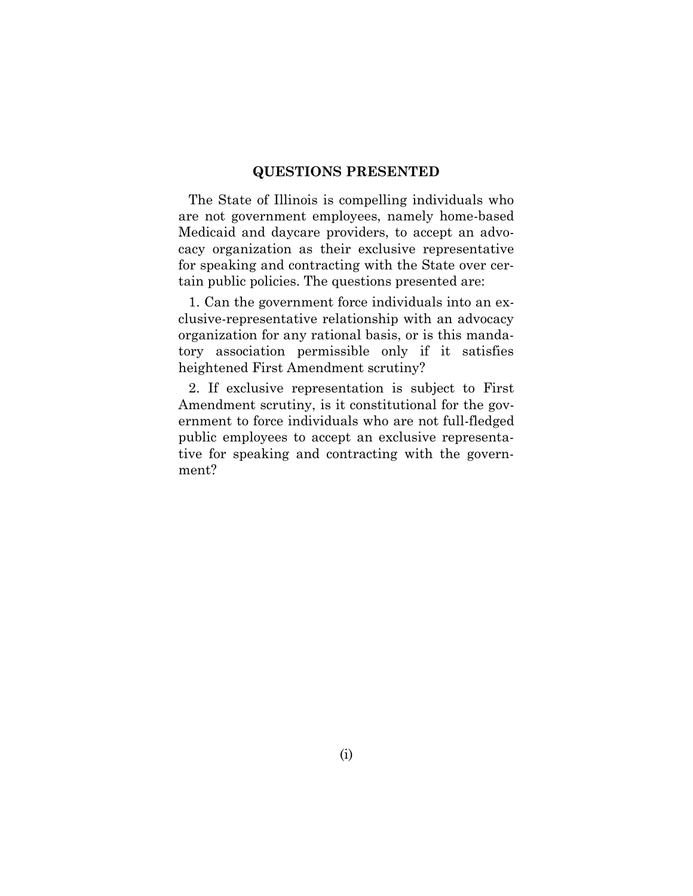#### **QUESTIONS PRESENTED**

The State of Illinois is compelling individuals who are not government employees, namely home-based Medicaid and daycare providers, to accept an advocacy organization as their exclusive representative for speaking and contracting with the State over certain public policies. The questions presented are:

1. Can the government force individuals into an exclusive-representative relationship with an advocacy organization for any rational basis, or is this mandatory association permissible only if it satisfies heightened First Amendment scrutiny?

2. If exclusive representation is subject to First Amendment scrutiny, is it constitutional for the government to force individuals who are not full-fledged public employees to accept an exclusive representative for speaking and contracting with the government?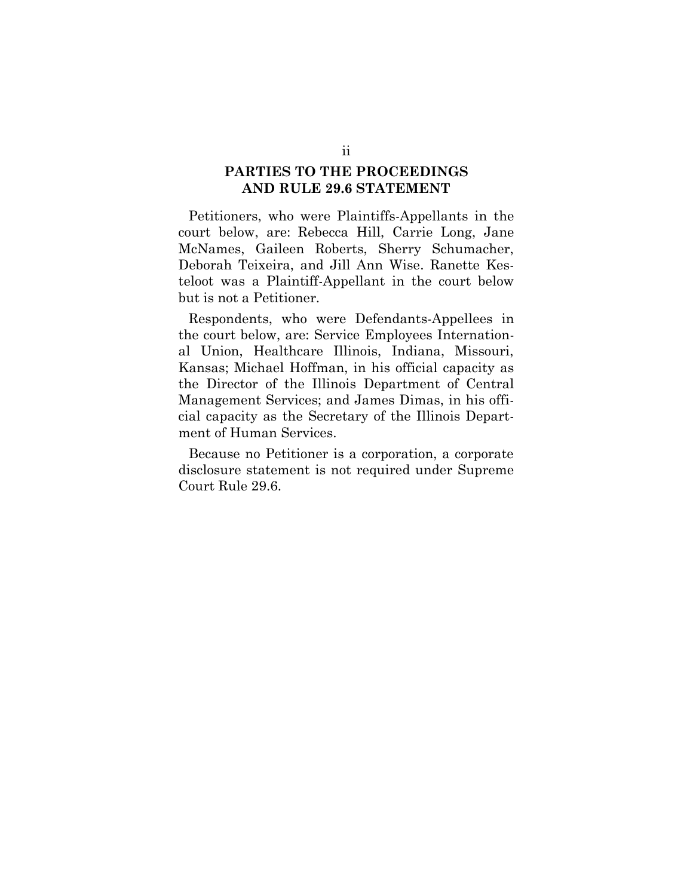### **PARTIES TO THE PROCEEDINGS AND RULE 29.6 STATEMENT**

Petitioners, who were Plaintiffs-Appellants in the court below, are: Rebecca Hill, Carrie Long, Jane McNames, Gaileen Roberts, Sherry Schumacher, Deborah Teixeira, and Jill Ann Wise. Ranette Kesteloot was a Plaintiff-Appellant in the court below but is not a Petitioner.

Respondents, who were Defendants-Appellees in the court below, are: Service Employees International Union, Healthcare Illinois, Indiana, Missouri, Kansas; Michael Hoffman, in his official capacity as the Director of the Illinois Department of Central Management Services; and James Dimas, in his official capacity as the Secretary of the Illinois Department of Human Services.

Because no Petitioner is a corporation, a corporate disclosure statement is not required under Supreme Court Rule 29.6.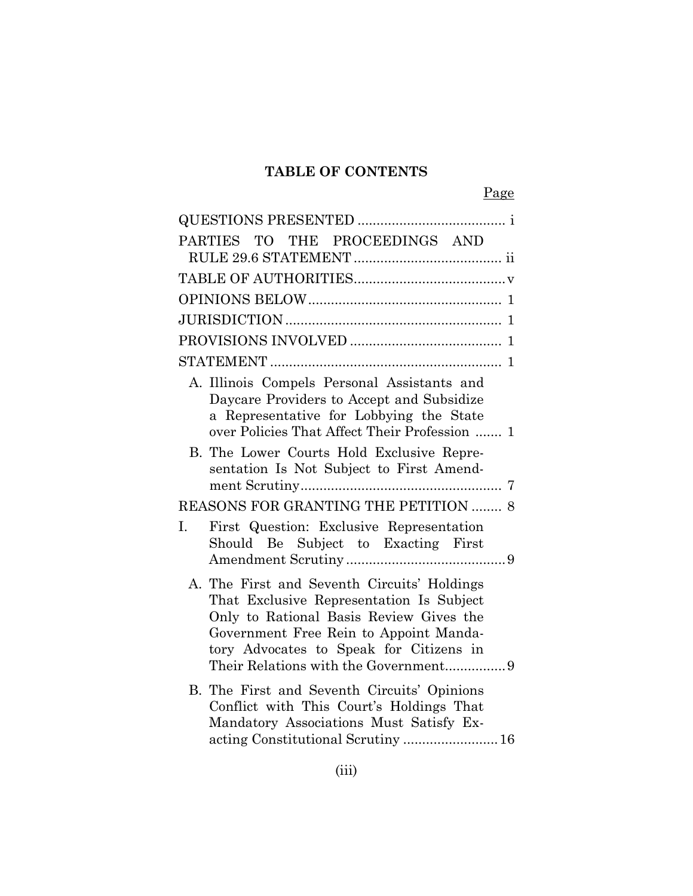## **TABLE OF CONTENTS**

|    | PARTIES TO THE PROCEEDINGS AND                                                                                                                                                                                                                                  |
|----|-----------------------------------------------------------------------------------------------------------------------------------------------------------------------------------------------------------------------------------------------------------------|
|    |                                                                                                                                                                                                                                                                 |
|    |                                                                                                                                                                                                                                                                 |
|    |                                                                                                                                                                                                                                                                 |
|    |                                                                                                                                                                                                                                                                 |
|    |                                                                                                                                                                                                                                                                 |
|    | A. Illinois Compels Personal Assistants and<br>Daycare Providers to Accept and Subsidize<br>a Representative for Lobbying the State<br>over Policies That Affect Their Profession  1                                                                            |
|    | B. The Lower Courts Hold Exclusive Repre-<br>sentation Is Not Subject to First Amend-                                                                                                                                                                           |
|    | REASONS FOR GRANTING THE PETITION  8                                                                                                                                                                                                                            |
| I. | First Question: Exclusive Representation<br>Should Be Subject to Exacting First                                                                                                                                                                                 |
|    | A. The First and Seventh Circuits' Holdings<br>That Exclusive Representation Is Subject<br>Only to Rational Basis Review Gives the<br>Government Free Rein to Appoint Manda-<br>tory Advocates to Speak for Citizens in<br>Their Relations with the Government9 |
|    | B. The First and Seventh Circuits' Opinions<br>Conflict with This Court's Holdings That<br>Mandatory Associations Must Satisfy Ex-                                                                                                                              |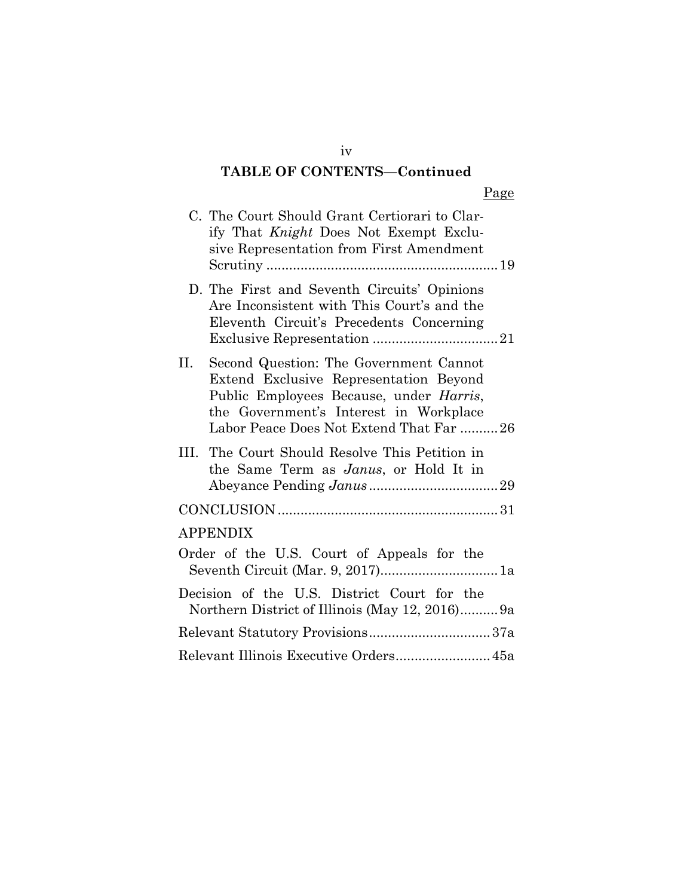## **TABLE OF CONTENTS—Continued**

|     | C. The Court Should Grant Certiorari to Clar-<br>ify That Knight Does Not Exempt Exclu-<br>sive Representation from First Amendment                                                                              |
|-----|------------------------------------------------------------------------------------------------------------------------------------------------------------------------------------------------------------------|
|     | D. The First and Seventh Circuits' Opinions<br>Are Inconsistent with This Court's and the<br>Eleventh Circuit's Precedents Concerning                                                                            |
| II. | Second Question: The Government Cannot<br>Extend Exclusive Representation Beyond<br>Public Employees Because, under Harris,<br>the Government's Interest in Workplace<br>Labor Peace Does Not Extend That Far 26 |
|     | III. The Court Should Resolve This Petition in<br>the Same Term as Janus, or Hold It in                                                                                                                          |
|     |                                                                                                                                                                                                                  |
|     | <b>APPENDIX</b>                                                                                                                                                                                                  |
|     | Order of the U.S. Court of Appeals for the                                                                                                                                                                       |
|     | Decision of the U.S. District Court for the<br>Northern District of Illinois (May 12, 2016)9a                                                                                                                    |
|     |                                                                                                                                                                                                                  |
|     | Relevant Illinois Executive Orders 45a                                                                                                                                                                           |

iv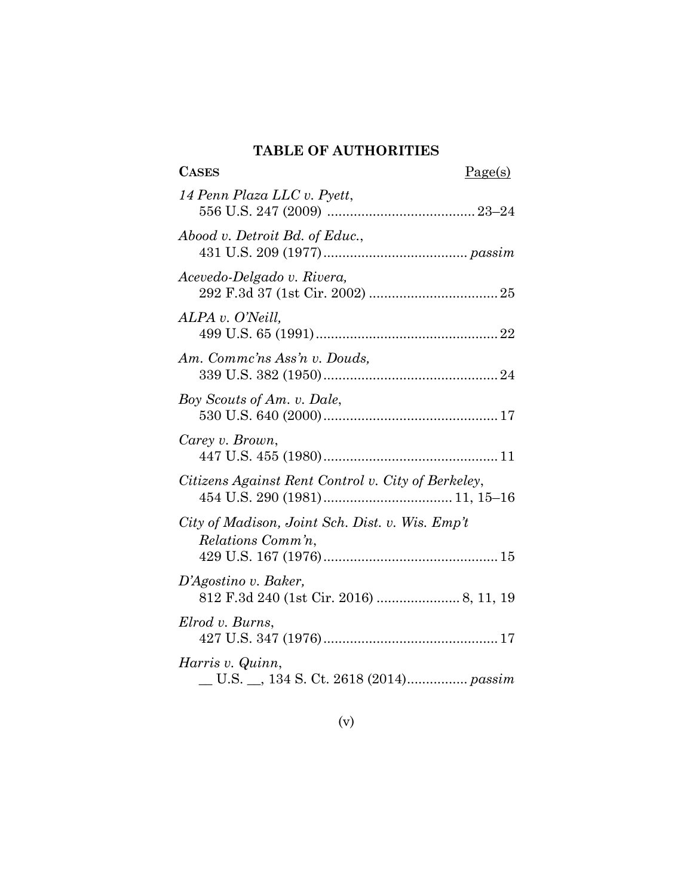### **TABLE OF AUTHORITIES**

| <b>CASES</b><br>Page(s)                                              |
|----------------------------------------------------------------------|
| 14 Penn Plaza LLC v. Pyett,                                          |
| Abood v. Detroit Bd. of Educ.,                                       |
| Acevedo-Delgado v. Rivera,                                           |
| ALPA v. O'Neill,                                                     |
| Am. Commc'ns Ass'n v. Douds,                                         |
| Boy Scouts of Am. v. Dale,                                           |
| Carey v. Brown,                                                      |
| Citizens Against Rent Control v. City of Berkeley,                   |
| City of Madison, Joint Sch. Dist. v. Wis. Emp't<br>Relations Comm'n, |
| D'Agostino v. Baker,                                                 |
| Elrod v. Burns,                                                      |
| Harris v. Quinn,                                                     |

## (v)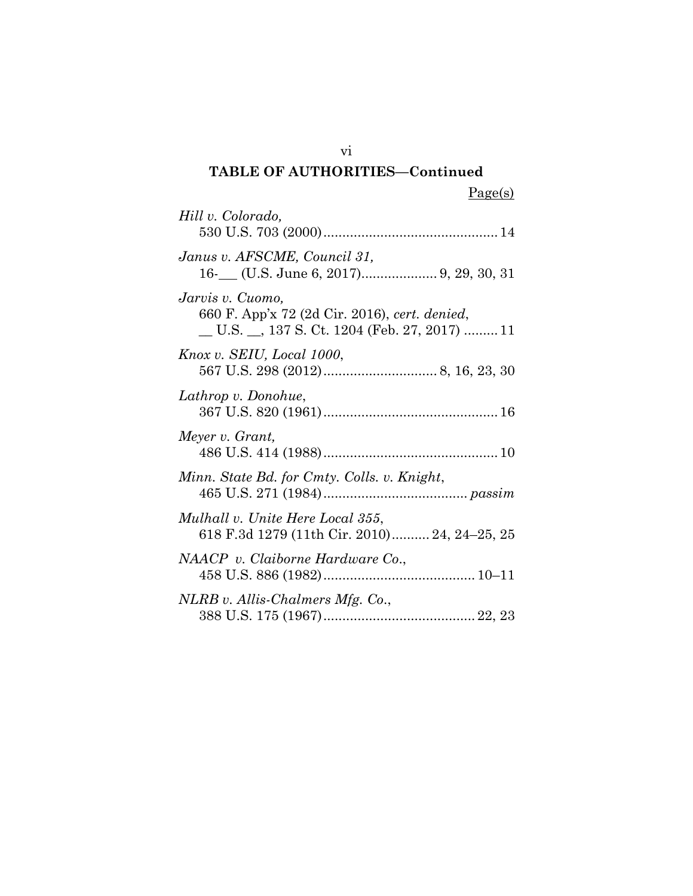| Hill v. Colorado,                                                                                                |
|------------------------------------------------------------------------------------------------------------------|
| Janus v. AFSCME, Council 31,                                                                                     |
| Jarvis v. Cuomo,<br>660 F. App'x 72 (2d Cir. 2016), cert. denied,<br>U.S. _, 137 S. Ct. 1204 (Feb. 27, 2017)  11 |
| Knox v. SEIU, Local 1000,                                                                                        |
| Lathrop v. Donohue,                                                                                              |
| Meyer v. Grant,                                                                                                  |
| Minn. State Bd. for Cmty. Colls. v. Knight,                                                                      |
| Mulhall v. Unite Here Local 355,<br>618 F.3d 1279 (11th Cir. 2010) 24, 24–25, 25                                 |
| NAACP v. Claiborne Hardware Co.,                                                                                 |
| NLRB v. Allis-Chalmers Mfg. Co.,                                                                                 |

vi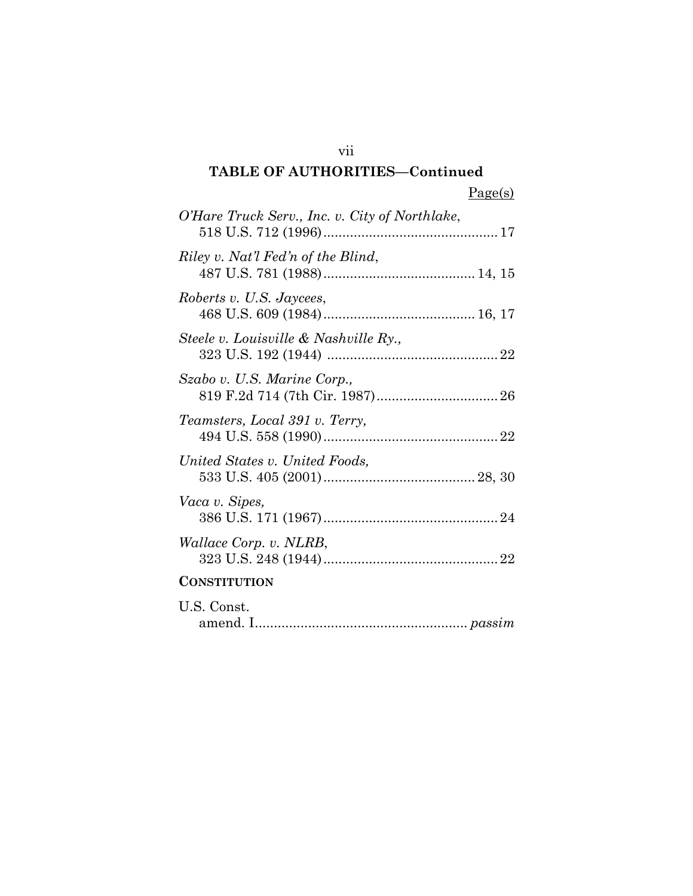| agets | , |
|-------|---|
|       |   |

| O'Hare Truck Serv., Inc. v. City of Northlake, |
|------------------------------------------------|
| Riley v. Nat'l Fed'n of the Blind,             |
| Roberts v. U.S. Jaycees,                       |
| Steele v. Louisville & Nashville Ry.,          |
| Szabo v. U.S. Marine Corp.,                    |
| Teamsters, Local 391 v. Terry,                 |
| United States v. United Foods,                 |
| Vaca v. Sipes,                                 |
| <i>Wallace Corp. v. NLRB,</i>                  |
| <b>CONSTITUTION</b>                            |
| U.S. Const.                                    |

| J.S. Const. |  |
|-------------|--|
|             |  |

vii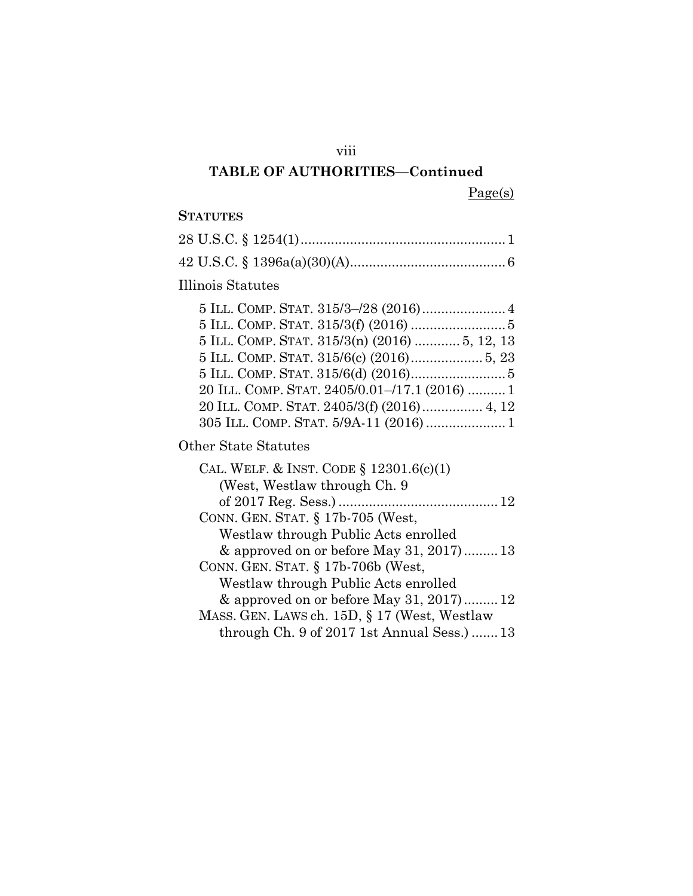### viii

## **TABLE OF AUTHORITIES—Continued**

Page(s)

### **STATUTES**

| Illinois Statutes                                                                                                                                                                      |
|----------------------------------------------------------------------------------------------------------------------------------------------------------------------------------------|
| 5 ILL. COMP. STAT. 315/3(n) (2016)  5, 12, 13<br>20 ILL. COMP. STAT. 2405/0.01-/17.1 (2016)  1<br>20 ILL. COMP. STAT. 2405/3(f) (2016) 4, 12<br>305 ILL. COMP. STAT. 5/9A-11 (2016)  1 |
|                                                                                                                                                                                        |
| Other State Statutes                                                                                                                                                                   |
| CAL. WELF. & INST. CODE $\S 12301.6(c)(1)$<br>(West, Westlaw through Ch. 9)                                                                                                            |
| of 2017 Reg. Sess.)                                                                                                                                                                    |
| CONN. GEN. STAT. § 17b-705 (West,<br>Westlaw through Public Acts enrolled                                                                                                              |
| $\&$ approved on or before May 31, 2017)13<br>CONN. GEN. STAT. § 17b-706b (West,                                                                                                       |
| Westlaw through Public Acts enrolled<br>& approved on or before May 31, 2017)12<br>MASS. GEN. LAWS ch. 15D, § 17 (West, Westlaw                                                        |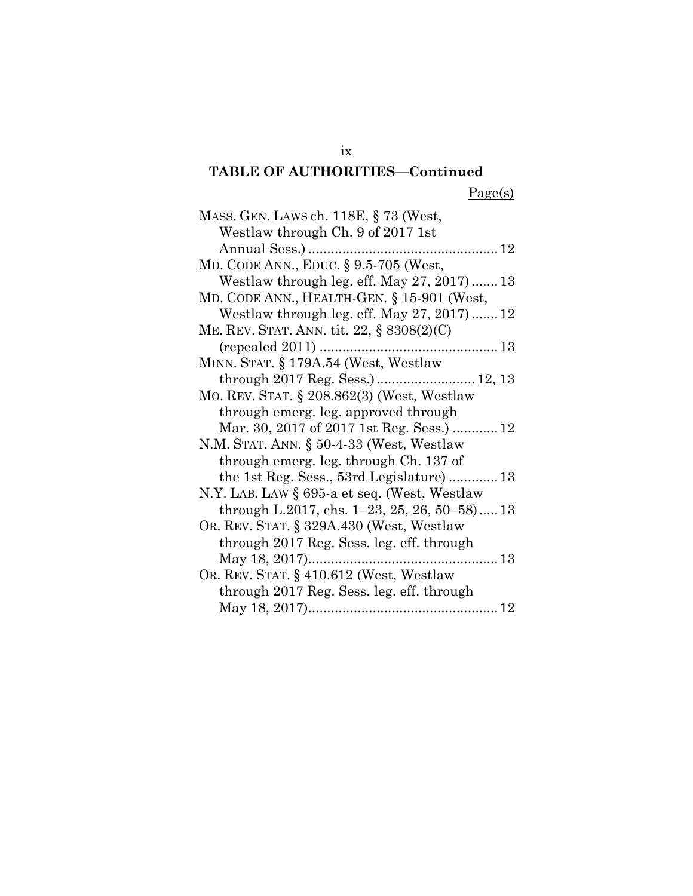| MASS. GEN. LAWS ch. 118E, § 73 (West,                    |
|----------------------------------------------------------|
| Westlaw through Ch. 9 of 2017 1st                        |
|                                                          |
| MD. CODE ANN., EDUC. § 9.5-705 (West,                    |
| Westlaw through leg. eff. May $27, 2017$ 13              |
| MD. CODE ANN., HEALTH-GEN. § 15-901 (West,               |
| Westlaw through leg. eff. May $27, 2017$ 12              |
| ME. REV. STAT. ANN. tit. 22, § 8308(2)(C)                |
|                                                          |
| MINN. STAT. § 179A.54 (West, Westlaw                     |
| through 2017 Reg. Sess.) 12, 13                          |
| MO. REV. STAT. § 208.862(3) (West, Westlaw               |
| through emerg. leg. approved through                     |
| Mar. 30, 2017 of 2017 1st Reg. Sess.)  12                |
| N.M. STAT. ANN. $\S 50-4-33$ (West, Westlaw              |
| through emerg. leg. through Ch. 137 of                   |
| the 1st Reg. Sess., 53rd Legislature) 13                 |
| N.Y. LAB. LAW § 695-a et seq. (West, Westlaw             |
| through L.2017, chs. $1-23$ , $25$ , $26$ , $50-58$ ) 13 |
| OR. REV. STAT. § 329A.430 (West, Westlaw                 |
| through 2017 Reg. Sess. leg. eff. through                |
|                                                          |
| OR. REV. STAT. § 410.612 (West, Westlaw                  |
| through 2017 Reg. Sess. leg. eff. through                |
|                                                          |

ix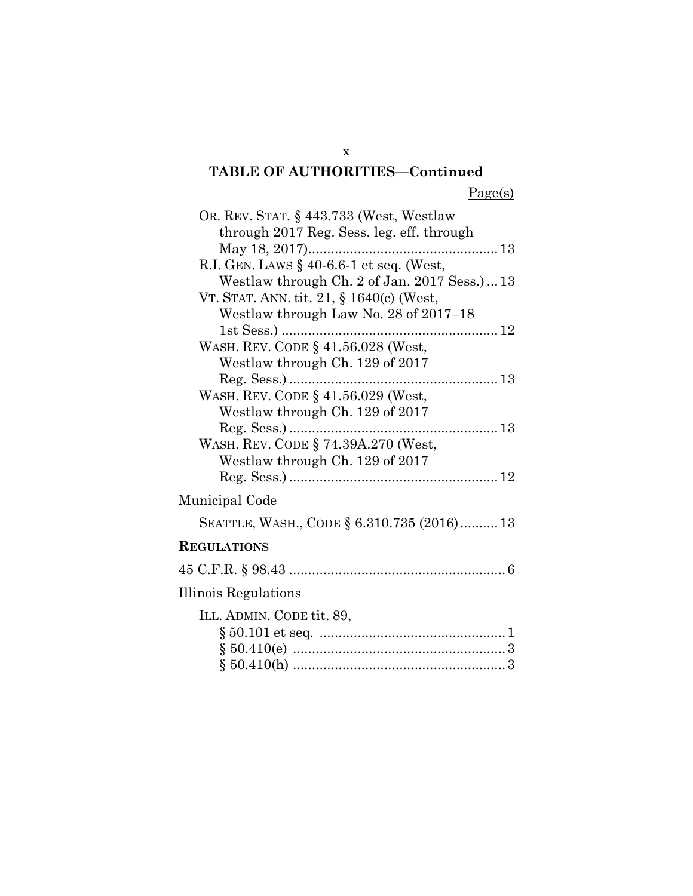| OR. REV. STAT. § 443.733 (West, Westlaw     |
|---------------------------------------------|
| through 2017 Reg. Sess. leg. eff. through   |
|                                             |
| R.I. GEN. LAWS $\S$ 40-6.6-1 et seq. (West, |
| Westlaw through Ch. 2 of Jan. 2017 Sess.)13 |
| VT. STAT. ANN. tit. 21, § 1640(c) (West,    |
| Westlaw through Law No. 28 of 2017–18       |
|                                             |
| WASH. REV. CODE § 41.56.028 (West,          |
| Westlaw through Ch. 129 of 2017             |
|                                             |
| WASH. REV. CODE § 41.56.029 (West,          |
| Westlaw through Ch. 129 of 2017             |
|                                             |
| WASH. REV. CODE § 74.39A.270 (West,         |
| Westlaw through Ch. 129 of 2017             |
|                                             |
| Municipal Code                              |
| SEATTLE, WASH., CODE § 6.310.735 (2016) 13  |
| <b>REGULATIONS</b>                          |
|                                             |
| Illinois Regulations                        |
| ILL. ADMIN. CODE tit. 89,                   |
|                                             |
|                                             |
|                                             |
|                                             |

x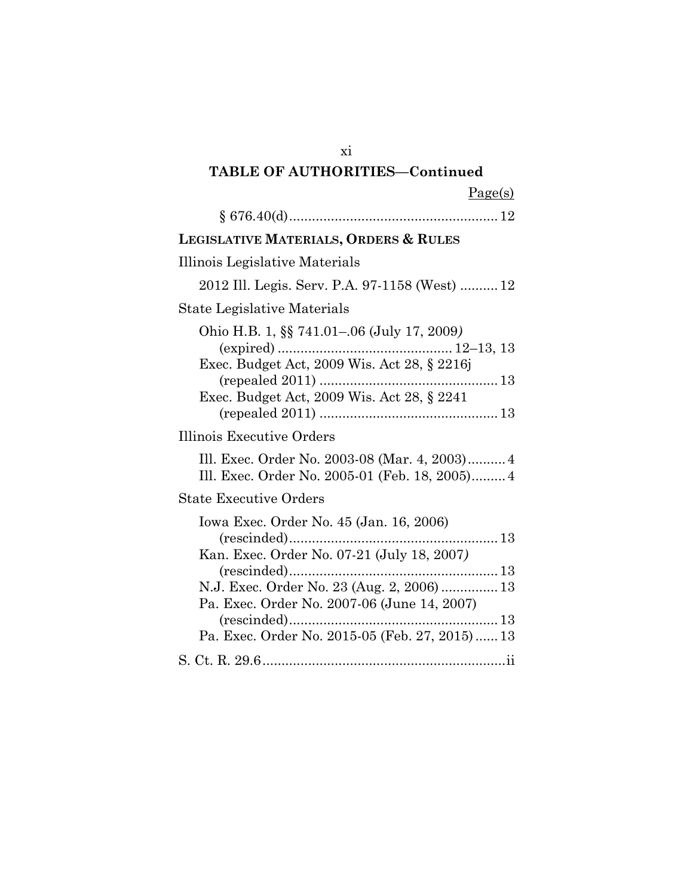| ۰,       | ger<br>s |
|----------|----------|
| $\sigma$ |          |

| LEGISLATIVE MATERIALS, ORDERS & RULES                                                                                                                                                                                                |
|--------------------------------------------------------------------------------------------------------------------------------------------------------------------------------------------------------------------------------------|
| Illinois Legislative Materials                                                                                                                                                                                                       |
| 2012 Ill. Legis. Serv. P.A. 97-1158 (West)  12                                                                                                                                                                                       |
| State Legislative Materials                                                                                                                                                                                                          |
| Ohio H.B. 1, §§ 741.01–.06 (July 17, 2009)<br>Exec. Budget Act, 2009 Wis. Act 28, § 2241                                                                                                                                             |
| Illinois Executive Orders                                                                                                                                                                                                            |
| Ill. Exec. Order No. 2003-08 (Mar. 4, 2003) 4<br>Ill. Exec. Order No. 2005-01 (Feb. 18, 2005) 4                                                                                                                                      |
| <b>State Executive Orders</b>                                                                                                                                                                                                        |
| Iowa Exec. Order No. 45 (Jan. 16, 2006)<br>Kan. Exec. Order No. 07-21 (July 18, 2007)<br>N.J. Exec. Order No. 23 (Aug. 2, 2006)  13<br>Pa. Exec. Order No. 2007-06 (June 14, 2007)<br>Pa. Exec. Order No. 2015-05 (Feb. 27, 2015) 13 |
|                                                                                                                                                                                                                                      |

xi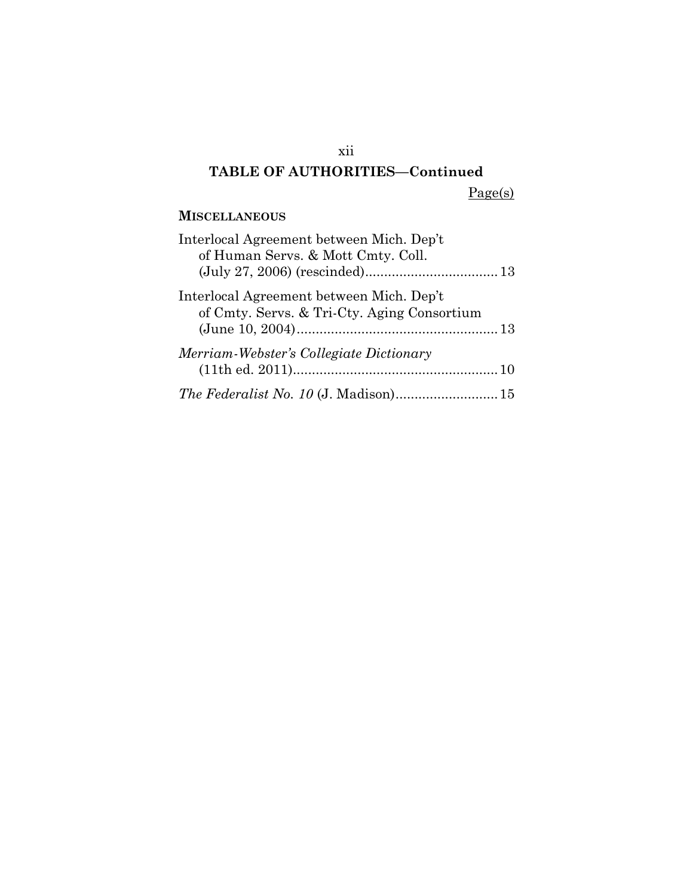xii

Page(s)

### **MISCELLANEOUS**

| Interlocal Agreement between Mich. Dep't<br>of Human Servs. & Mott Cmty. Coll.          |  |
|-----------------------------------------------------------------------------------------|--|
|                                                                                         |  |
| Interlocal Agreement between Mich. Dep't<br>of Cmty. Servs. & Tri-Cty. Aging Consortium |  |
| Merriam-Webster's Collegiate Dictionary                                                 |  |
| The Federalist No. 10 (J. Madison) 15                                                   |  |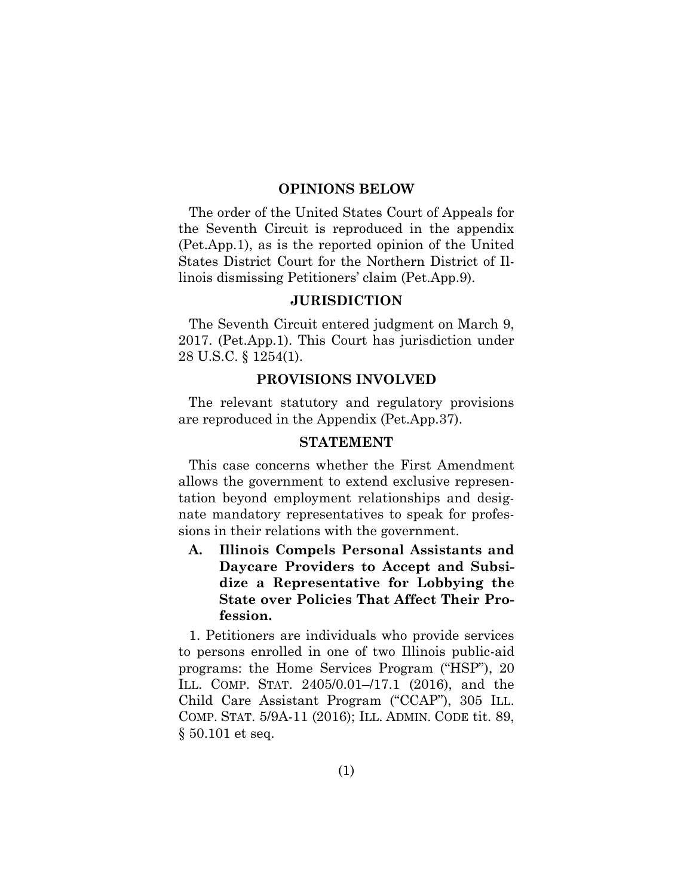#### **OPINIONS BELOW**

The order of the United States Court of Appeals for the Seventh Circuit is reproduced in the appendix (Pet.App.1), as is the reported opinion of the United States District Court for the Northern District of Illinois dismissing Petitioners' claim (Pet.App.9).

#### **JURISDICTION**

The Seventh Circuit entered judgment on March 9, 2017. (Pet.App.1). This Court has jurisdiction under 28 U.S.C. § 1254(1).

#### **PROVISIONS INVOLVED**

The relevant statutory and regulatory provisions are reproduced in the Appendix (Pet.App.37).

#### **STATEMENT**

This case concerns whether the First Amendment allows the government to extend exclusive representation beyond employment relationships and designate mandatory representatives to speak for professions in their relations with the government.

**A. Illinois Compels Personal Assistants and Daycare Providers to Accept and Subsidize a Representative for Lobbying the State over Policies That Affect Their Profession.**

1. Petitioners are individuals who provide services to persons enrolled in one of two Illinois public-aid programs: the Home Services Program ("HSP"), 20 ILL. COMP. STAT. 2405/0.01–/17.1 (2016), and the Child Care Assistant Program ("CCAP"), 305 ILL. COMP. STAT. 5/9A-11 (2016); ILL. ADMIN. CODE tit. 89, § 50.101 et seq.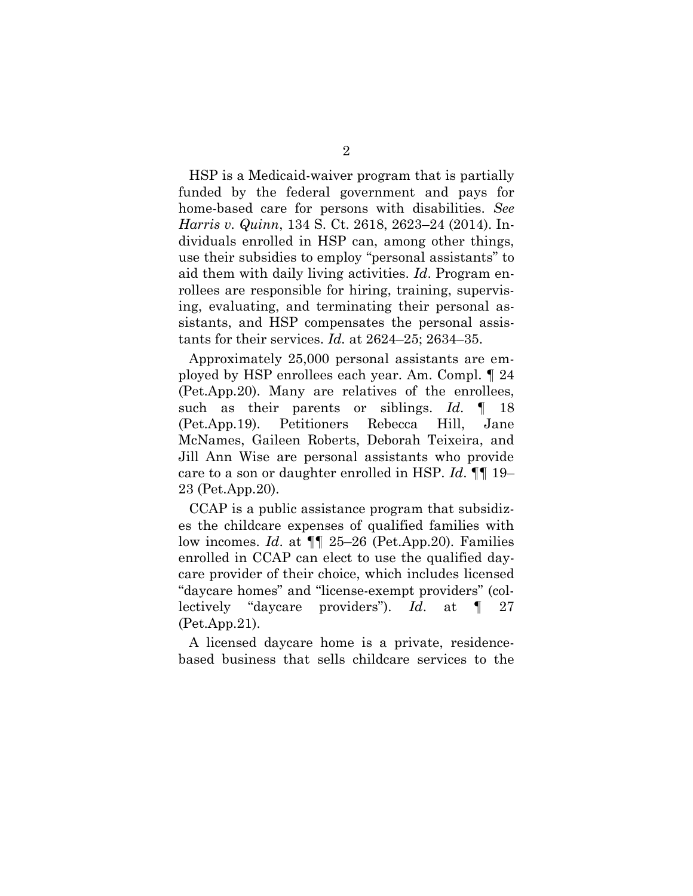HSP is a Medicaid-waiver program that is partially funded by the federal government and pays for home-based care for persons with disabilities. *See Harris v. Quinn*, 134 S. Ct. 2618, 2623–24 (2014). Individuals enrolled in HSP can, among other things, use their subsidies to employ "personal assistants" to aid them with daily living activities. *Id*. Program enrollees are responsible for hiring, training, supervising, evaluating, and terminating their personal assistants, and HSP compensates the personal assistants for their services. *Id.* at 2624–25; 2634–35.

Approximately 25,000 personal assistants are employed by HSP enrollees each year. Am. Compl. ¶ 24 (Pet.App.20). Many are relatives of the enrollees, such as their parents or siblings. *Id*. ¶ 18 (Pet.App.19). Petitioners Rebecca Hill, Jane McNames, Gaileen Roberts, Deborah Teixeira, and Jill Ann Wise are personal assistants who provide care to a son or daughter enrolled in HSP. *Id*. ¶¶ 19– 23 (Pet.App.20).

CCAP is a public assistance program that subsidizes the childcare expenses of qualified families with low incomes. *Id*. at ¶¶ 25–26 (Pet.App.20). Families enrolled in CCAP can elect to use the qualified daycare provider of their choice, which includes licensed "daycare homes" and "license-exempt providers" (collectively "daycare providers"). *Id*. at ¶ 27 (Pet.App.21).

A licensed daycare home is a private, residencebased business that sells childcare services to the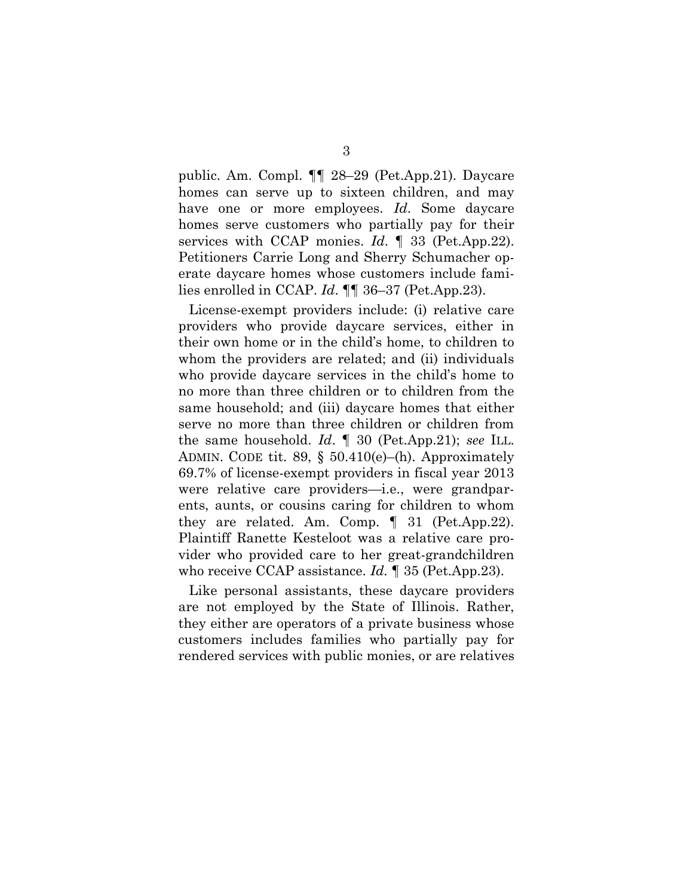public. Am. Compl. ¶¶ 28–29 (Pet.App.21). Daycare homes can serve up to sixteen children, and may have one or more employees. *Id*. Some daycare homes serve customers who partially pay for their services with CCAP monies. *Id*. ¶ 33 (Pet.App.22). Petitioners Carrie Long and Sherry Schumacher operate daycare homes whose customers include families enrolled in CCAP. *Id*. ¶¶ 36–37 (Pet.App.23).

License-exempt providers include: (i) relative care providers who provide daycare services, either in their own home or in the child's home, to children to whom the providers are related; and (ii) individuals who provide daycare services in the child's home to no more than three children or to children from the same household; and (iii) daycare homes that either serve no more than three children or children from the same household. *Id*. ¶ 30 (Pet.App.21); *see* ILL. ADMIN. CODE tit. 89, § 50.410(e)–(h). Approximately 69.7% of license-exempt providers in fiscal year 2013 were relative care providers—i.e., were grandparents, aunts, or cousins caring for children to whom they are related. Am. Comp. ¶ 31 (Pet.App.22). Plaintiff Ranette Kesteloot was a relative care provider who provided care to her great-grandchildren who receive CCAP assistance. *Id.* ¶ 35 (Pet.App.23).

Like personal assistants, these daycare providers are not employed by the State of Illinois. Rather, they either are operators of a private business whose customers includes families who partially pay for rendered services with public monies, or are relatives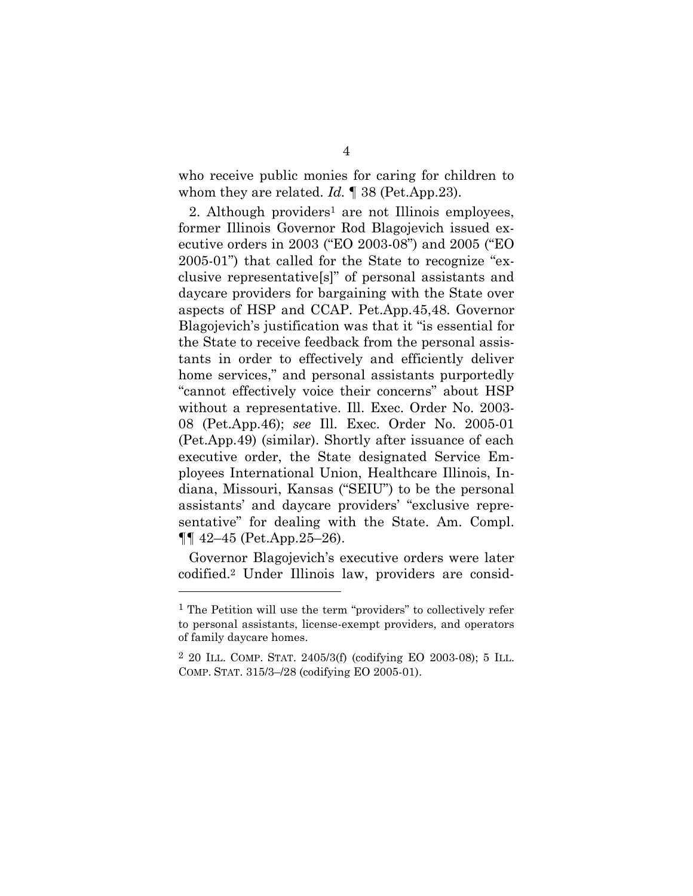who receive public monies for caring for children to whom they are related. *Id.* ¶ 38 (Pet.App.23).

2. Although providers<sup>1</sup> are not Illinois employees, former Illinois Governor Rod Blagojevich issued executive orders in 2003 ("EO 2003-08") and 2005 ("EO 2005-01") that called for the State to recognize "exclusive representative[s]" of personal assistants and daycare providers for bargaining with the State over aspects of HSP and CCAP. Pet.App.45,48. Governor Blagojevich's justification was that it "is essential for the State to receive feedback from the personal assistants in order to effectively and efficiently deliver home services," and personal assistants purportedly "cannot effectively voice their concerns" about HSP without a representative. Ill. Exec. Order No. 2003- 08 (Pet.App.46); *see* Ill. Exec. Order No. 2005-01 (Pet.App.49) (similar). Shortly after issuance of each executive order, the State designated Service Employees International Union, Healthcare Illinois, Indiana, Missouri, Kansas ("SEIU") to be the personal assistants' and daycare providers' "exclusive representative" for dealing with the State. Am. Compl.  $\P\P$  42–45 (Pet.App.25–26).

Governor Blagojevich's executive orders were later codified.<sup>2</sup> Under Illinois law, providers are consid-

l

<sup>1</sup> The Petition will use the term "providers" to collectively refer to personal assistants, license-exempt providers, and operators of family daycare homes.

<sup>2</sup> 20 ILL. COMP. STAT. 2405/3(f) (codifying EO 2003-08); 5 ILL. COMP. STAT. 315/3–/28 (codifying EO 2005-01).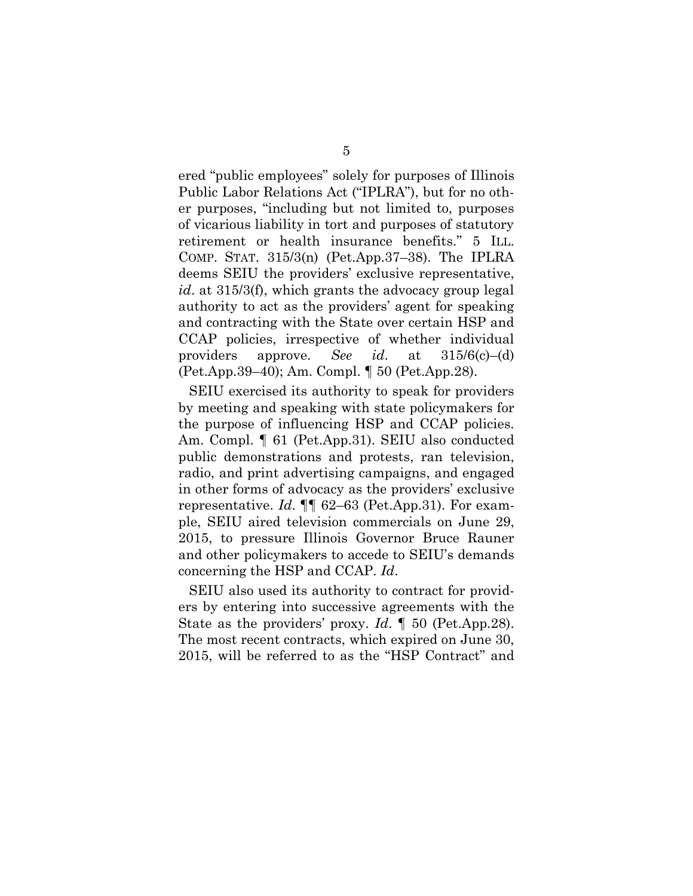ered "public employees" solely for purposes of Illinois Public Labor Relations Act ("IPLRA"), but for no other purposes, "including but not limited to, purposes of vicarious liability in tort and purposes of statutory retirement or health insurance benefits." 5 ILL. COMP. STAT. 315/3(n) (Pet.App.37–38). The IPLRA deems SEIU the providers' exclusive representative, *id*. at 315/3(f), which grants the advocacy group legal authority to act as the providers' agent for speaking and contracting with the State over certain HSP and CCAP policies, irrespective of whether individual providers approve. *See id*. at 315/6(c)–(d) (Pet.App.39–40); Am. Compl. ¶ 50 (Pet.App.28).

SEIU exercised its authority to speak for providers by meeting and speaking with state policymakers for the purpose of influencing HSP and CCAP policies. Am. Compl. ¶ 61 (Pet.App.31). SEIU also conducted public demonstrations and protests, ran television, radio, and print advertising campaigns, and engaged in other forms of advocacy as the providers' exclusive representative. *Id*. ¶¶ 62–63 (Pet.App.31). For example, SEIU aired television commercials on June 29, 2015, to pressure Illinois Governor Bruce Rauner and other policymakers to accede to SEIU's demands concerning the HSP and CCAP. *Id*.

SEIU also used its authority to contract for providers by entering into successive agreements with the State as the providers' proxy. *Id*. ¶ 50 (Pet.App.28). The most recent contracts, which expired on June 30, 2015, will be referred to as the "HSP Contract" and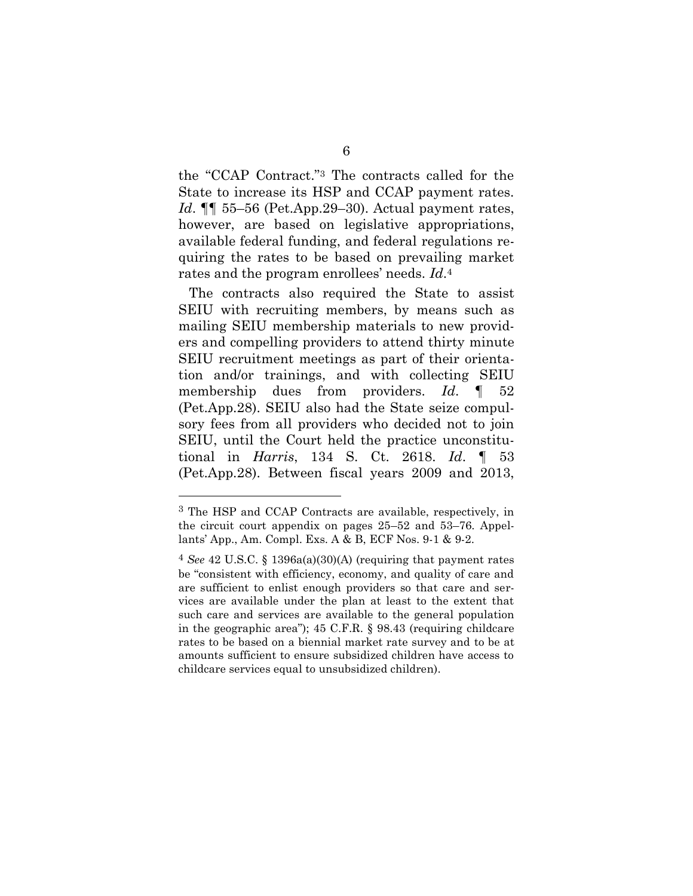the "CCAP Contract." <sup>3</sup> The contracts called for the State to increase its HSP and CCAP payment rates. *Id*. **[1]** 55–56 (Pet.App.29–30). Actual payment rates, however, are based on legislative appropriations, available federal funding, and federal regulations requiring the rates to be based on prevailing market rates and the program enrollees' needs. *Id*. 4

The contracts also required the State to assist SEIU with recruiting members, by means such as mailing SEIU membership materials to new providers and compelling providers to attend thirty minute SEIU recruitment meetings as part of their orientation and/or trainings, and with collecting SEIU membership dues from providers. *Id*. ¶ 52 (Pet.App.28). SEIU also had the State seize compulsory fees from all providers who decided not to join SEIU, until the Court held the practice unconstitutional in *Harris*, 134 S. Ct. 2618. *Id*. ¶ 53 (Pet.App.28). Between fiscal years 2009 and 2013,

<sup>3</sup> The HSP and CCAP Contracts are available, respectively, in the circuit court appendix on pages 25–52 and 53–76. Appellants' App., Am. Compl. Exs. A & B, ECF Nos. 9-1 & 9-2.

<sup>4</sup> *See* 42 U.S.C. § 1396a(a)(30)(A) (requiring that payment rates be "consistent with efficiency, economy, and quality of care and are sufficient to enlist enough providers so that care and services are available under the plan at least to the extent that such care and services are available to the general population in the geographic area"); 45 C.F.R. § 98.43 (requiring childcare rates to be based on a biennial market rate survey and to be at amounts sufficient to ensure subsidized children have access to childcare services equal to unsubsidized children).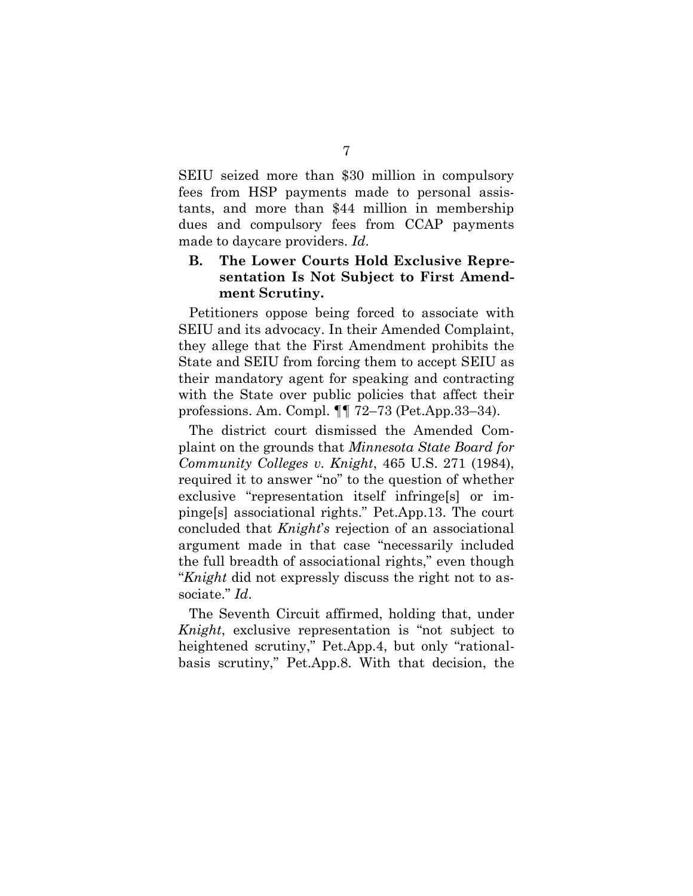SEIU seized more than \$30 million in compulsory fees from HSP payments made to personal assistants, and more than \$44 million in membership dues and compulsory fees from CCAP payments made to daycare providers. *Id*.

#### **B. The Lower Courts Hold Exclusive Representation Is Not Subject to First Amendment Scrutiny.**

Petitioners oppose being forced to associate with SEIU and its advocacy. In their Amended Complaint, they allege that the First Amendment prohibits the State and SEIU from forcing them to accept SEIU as their mandatory agent for speaking and contracting with the State over public policies that affect their professions. Am. Compl. ¶¶ 72–73 (Pet.App.33–34).

The district court dismissed the Amended Complaint on the grounds that *Minnesota State Board for Community Colleges v. Knight*, 465 U.S. 271 (1984), required it to answer "no" to the question of whether exclusive "representation itself infringe[s] or impinge[s] associational rights." Pet.App.13. The court concluded that *Knight*'*s* rejection of an associational argument made in that case "necessarily included the full breadth of associational rights," even though "*Knight* did not expressly discuss the right not to associate." *Id*.

The Seventh Circuit affirmed, holding that, under *Knight*, exclusive representation is "not subject to heightened scrutiny," Pet.App.4, but only "rationalbasis scrutiny," Pet.App.8. With that decision, the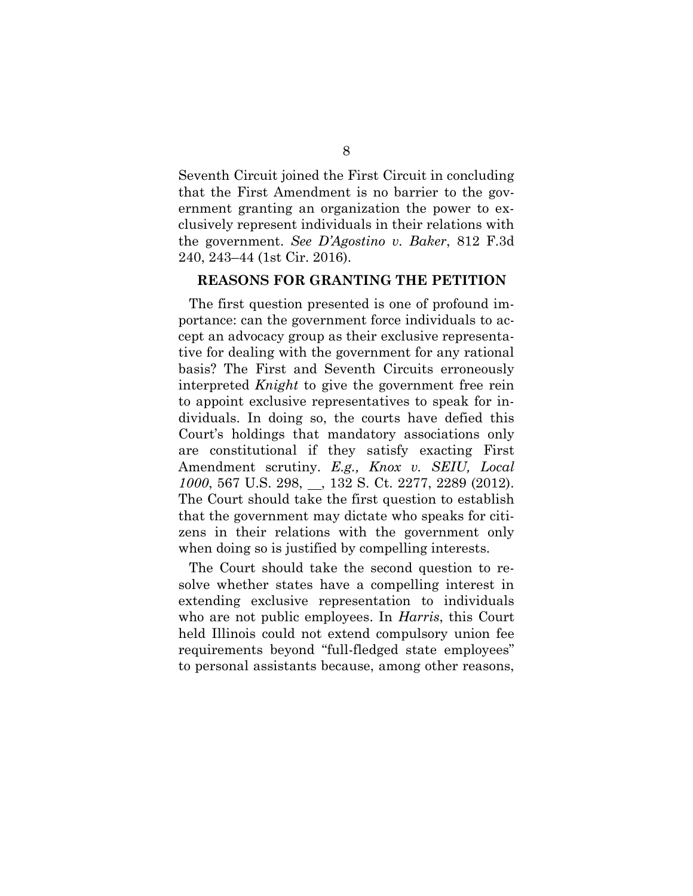Seventh Circuit joined the First Circuit in concluding that the First Amendment is no barrier to the government granting an organization the power to exclusively represent individuals in their relations with the government. *See D'Agostino v. Baker*, 812 F.3d 240, 243–44 (1st Cir. 2016).

#### **REASONS FOR GRANTING THE PETITION**

The first question presented is one of profound importance: can the government force individuals to accept an advocacy group as their exclusive representative for dealing with the government for any rational basis? The First and Seventh Circuits erroneously interpreted *Knight* to give the government free rein to appoint exclusive representatives to speak for individuals. In doing so, the courts have defied this Court's holdings that mandatory associations only are constitutional if they satisfy exacting First Amendment scrutiny. *E.g., Knox v. SEIU, Local 1000*, 567 U.S. 298, 3132 S. Ct. 2277, 2289 (2012). The Court should take the first question to establish that the government may dictate who speaks for citizens in their relations with the government only when doing so is justified by compelling interests.

The Court should take the second question to resolve whether states have a compelling interest in extending exclusive representation to individuals who are not public employees. In *Harris*, this Court held Illinois could not extend compulsory union fee requirements beyond "full-fledged state employees" to personal assistants because, among other reasons,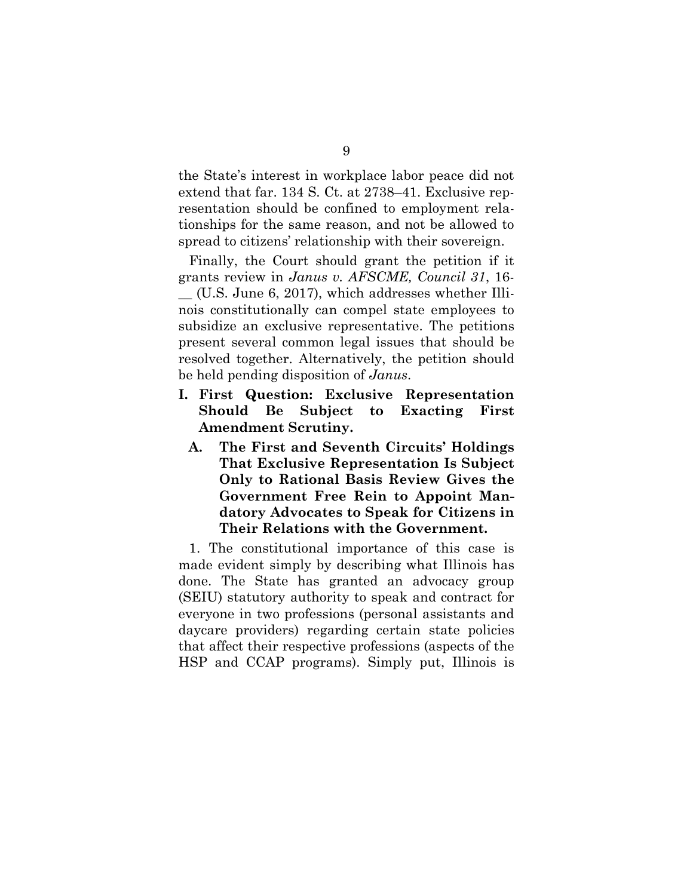the State's interest in workplace labor peace did not extend that far. 134 S. Ct. at 2738–41. Exclusive representation should be confined to employment relationships for the same reason, and not be allowed to spread to citizens' relationship with their sovereign.

Finally, the Court should grant the petition if it grants review in *Janus v. AFSCME, Council 31*, 16-

\_\_ (U.S. June 6, 2017), which addresses whether Illinois constitutionally can compel state employees to subsidize an exclusive representative. The petitions present several common legal issues that should be resolved together. Alternatively, the petition should be held pending disposition of *Janus*.

- **I. First Question: Exclusive Representation Should Be Subject to Exacting First Amendment Scrutiny.** 
	- **A. The First and Seventh Circuits' Holdings That Exclusive Representation Is Subject Only to Rational Basis Review Gives the Government Free Rein to Appoint Mandatory Advocates to Speak for Citizens in Their Relations with the Government.**

1. The constitutional importance of this case is made evident simply by describing what Illinois has done. The State has granted an advocacy group (SEIU) statutory authority to speak and contract for everyone in two professions (personal assistants and daycare providers) regarding certain state policies that affect their respective professions (aspects of the HSP and CCAP programs). Simply put, Illinois is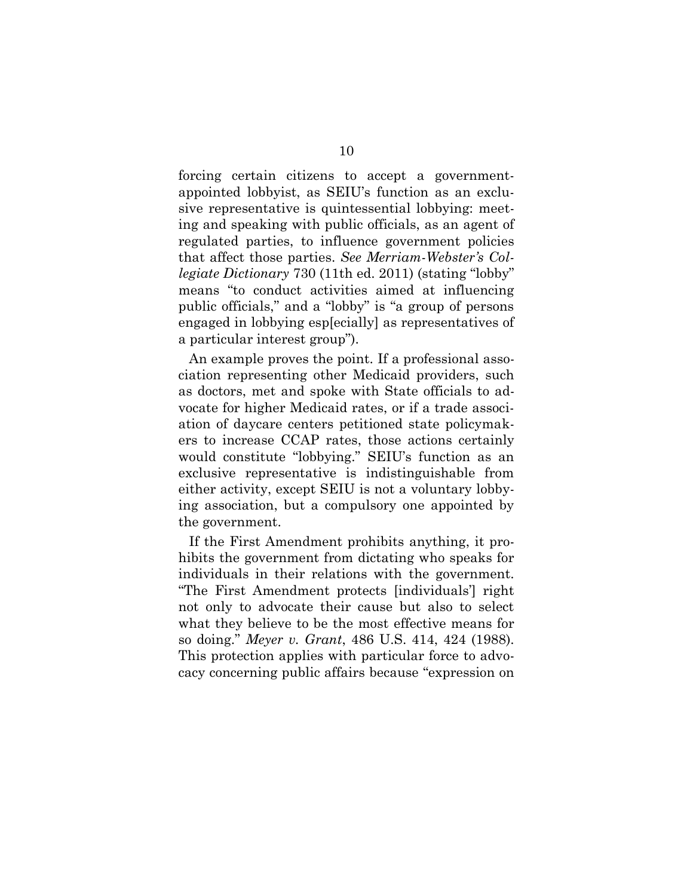forcing certain citizens to accept a governmentappointed lobbyist, as SEIU's function as an exclusive representative is quintessential lobbying: meeting and speaking with public officials, as an agent of regulated parties, to influence government policies that affect those parties. *See Merriam-Webster's Collegiate Dictionary* 730 (11th ed. 2011) (stating "lobby" means "to conduct activities aimed at influencing public officials," and a "lobby" is "a group of persons engaged in lobbying esp[ecially] as representatives of a particular interest group").

An example proves the point. If a professional association representing other Medicaid providers, such as doctors, met and spoke with State officials to advocate for higher Medicaid rates, or if a trade association of daycare centers petitioned state policymakers to increase CCAP rates, those actions certainly would constitute "lobbying." SEIU's function as an exclusive representative is indistinguishable from either activity, except SEIU is not a voluntary lobbying association, but a compulsory one appointed by the government.

If the First Amendment prohibits anything, it prohibits the government from dictating who speaks for individuals in their relations with the government. "The First Amendment protects [individuals'] right not only to advocate their cause but also to select what they believe to be the most effective means for so doing." *Meyer v. Grant*, 486 U.S. 414, 424 (1988). This protection applies with particular force to advocacy concerning public affairs because "expression on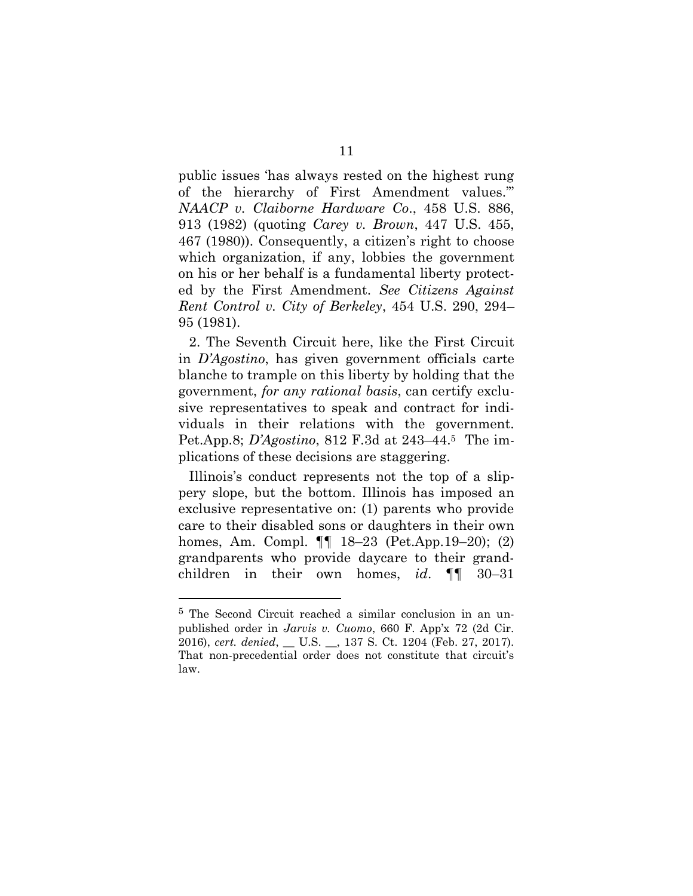public issues 'has always rested on the highest rung of the hierarchy of First Amendment values.'" *NAACP v. Claiborne Hardware Co*., 458 U.S. 886, 913 (1982) (quoting *Carey v. Brown*, 447 U.S. 455, 467 (1980)). Consequently, a citizen's right to choose which organization, if any, lobbies the government on his or her behalf is a fundamental liberty protected by the First Amendment. *See Citizens Against Rent Control v. City of Berkeley*, 454 U.S. 290, 294– 95 (1981).

2. The Seventh Circuit here, like the First Circuit in *D'Agostino*, has given government officials carte blanche to trample on this liberty by holding that the government, *for any rational basis*, can certify exclusive representatives to speak and contract for individuals in their relations with the government. Pet.App.8; *D'Agostino*, 812 F.3d at 243–44. <sup>5</sup> The implications of these decisions are staggering.

Illinois's conduct represents not the top of a slippery slope, but the bottom. Illinois has imposed an exclusive representative on: (1) parents who provide care to their disabled sons or daughters in their own homes, Am. Compl. ¶¶ 18–23 (Pet.App.19–20); (2) grandparents who provide daycare to their grandchildren in their own homes, *id*. ¶¶ 30–31

<sup>5</sup> The Second Circuit reached a similar conclusion in an unpublished order in *Jarvis v. Cuomo*, 660 F. App'x 72 (2d Cir. 2016), *cert. denied*, \_\_ U.S. \_\_, 137 S. Ct. 1204 (Feb. 27, 2017). That non-precedential order does not constitute that circuit's law.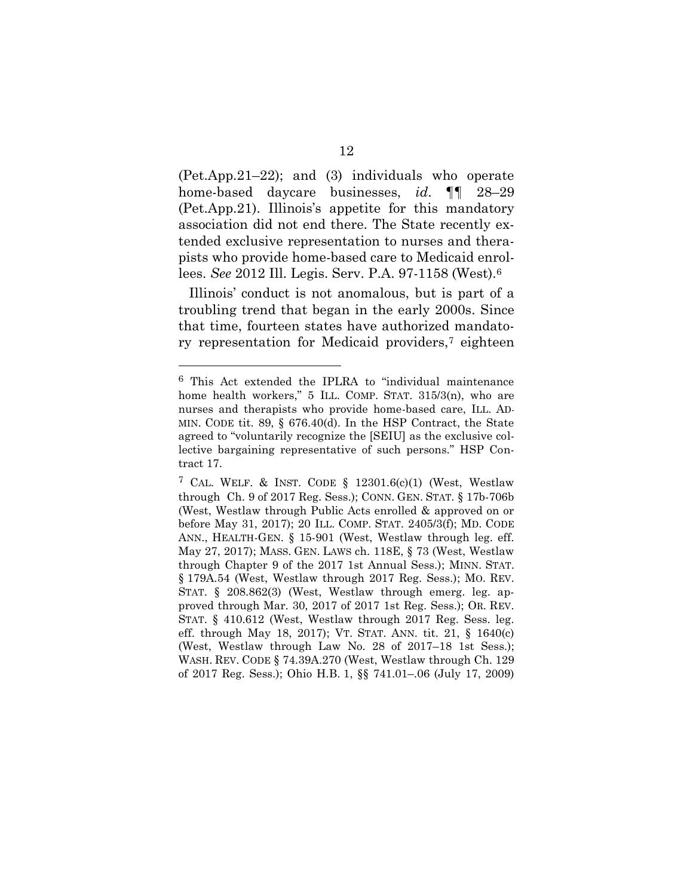(Pet.App.21–22); and (3) individuals who operate home-based daycare businesses, *id*. ¶¶ 28–29 (Pet.App.21). Illinois's appetite for this mandatory association did not end there. The State recently extended exclusive representation to nurses and therapists who provide home-based care to Medicaid enrollees. *See* 2012 Ill. Legis. Serv. P.A. 97-1158 (West).<sup>6</sup>

Illinois' conduct is not anomalous, but is part of a troubling trend that began in the early 2000s. Since that time, fourteen states have authorized mandatory representation for Medicaid providers,<sup>7</sup> eighteen

<sup>6</sup> This Act extended the IPLRA to "individual maintenance home health workers," 5 ILL. COMP. STAT. 315/3(n), who are nurses and therapists who provide home-based care, ILL. AD-MIN. CODE tit. 89, § 676.40(d). In the HSP Contract, the State agreed to "voluntarily recognize the [SEIU] as the exclusive collective bargaining representative of such persons." HSP Contract 17.

<sup>&</sup>lt;sup>7</sup> CAL. WELF. & INST. CODE  $\S$  12301.6(c)(1) (West, Westlaw through Ch. 9 of 2017 Reg. Sess.); CONN. GEN. STAT. § 17b-706b (West, Westlaw through Public Acts enrolled & approved on or before May 31, 2017); 20 ILL. COMP. STAT. 2405/3(f); MD. CODE ANN., HEALTH-GEN. § 15-901 (West, Westlaw through leg. eff. May 27, 2017); MASS. GEN. LAWS ch. 118E, § 73 (West, Westlaw through Chapter 9 of the 2017 1st Annual Sess.); MINN. STAT. § 179A.54 (West, Westlaw through 2017 Reg. Sess.); MO. REV. STAT. § 208.862(3) (West, Westlaw through emerg. leg. approved through Mar. 30, 2017 of 2017 1st Reg. Sess.); OR. REV. STAT. § 410.612 (West, Westlaw through 2017 Reg. Sess. leg. eff. through May 18, 2017); VT. STAT. ANN. tit. 21, § 1640(c) (West, Westlaw through Law No. 28 of 2017–18 1st Sess.); WASH. REV. CODE § 74.39A.270 (West, Westlaw through Ch. 129 of 2017 Reg. Sess.); Ohio H.B. 1, §§ 741.01–.06 (July 17, 2009)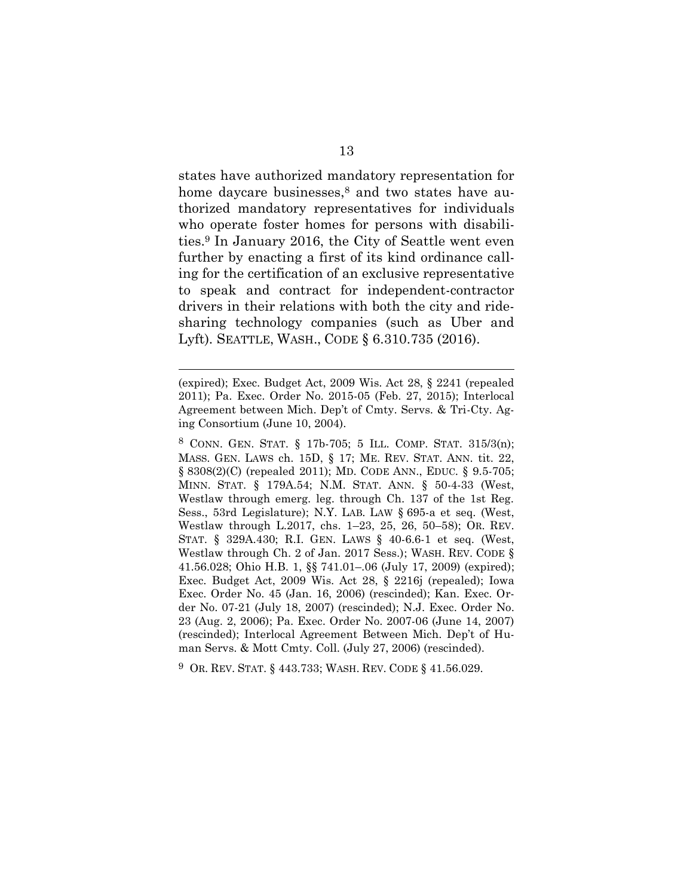states have authorized mandatory representation for home daycare businesses, <sup>8</sup> and two states have authorized mandatory representatives for individuals who operate foster homes for persons with disabilities. <sup>9</sup> In January 2016, the City of Seattle went even further by enacting a first of its kind ordinance calling for the certification of an exclusive representative to speak and contract for independent-contractor drivers in their relations with both the city and ridesharing technology companies (such as Uber and Lyft). SEATTLE, WASH., CODE § 6.310.735 (2016).

l

8 CONN. GEN. STAT. § 17b-705; 5 ILL. COMP. STAT. 315/3(n); MASS. GEN. LAWS ch. 15D, § 17; ME. REV. STAT. ANN. tit. 22, § 8308(2)(C) (repealed 2011); MD. CODE ANN., EDUC. § 9.5-705; MINN. STAT. § 179A.54; N.M. STAT. ANN. § 50-4-33 (West, Westlaw through emerg. leg. through Ch. 137 of the 1st Reg. Sess., 53rd Legislature); N.Y. LAB. LAW § 695-a et seq. (West, Westlaw through L.2017, chs. 1–23, 25, 26, 50–58); OR. REV. STAT. § 329A.430; R.I. GEN. LAWS § 40-6.6-1 et seq. (West, Westlaw through Ch. 2 of Jan. 2017 Sess.); WASH. REV. CODE § 41.56.028; Ohio H.B. 1, §§ 741.01–.06 (July 17, 2009) (expired); Exec. Budget Act, 2009 Wis. Act 28, § 2216j (repealed); Iowa Exec. Order No. 45 (Jan. 16, 2006) (rescinded); Kan. Exec. Order No. 07-21 (July 18, 2007) (rescinded); N.J. Exec. Order No. 23 (Aug. 2, 2006); Pa. Exec. Order No. 2007-06 (June 14, 2007) (rescinded); Interlocal Agreement Between Mich. Dep't of Human Servs. & Mott Cmty. Coll. (July 27, 2006) (rescinded).

9 OR. REV. STAT. § 443.733; WASH. REV. CODE § 41.56.029.

<sup>(</sup>expired); Exec. Budget Act, 2009 Wis. Act 28, § 2241 (repealed 2011); Pa. Exec. Order No. 2015-05 (Feb. 27, 2015); Interlocal Agreement between Mich. Dep't of Cmty. Servs. & Tri-Cty. Aging Consortium (June 10, 2004).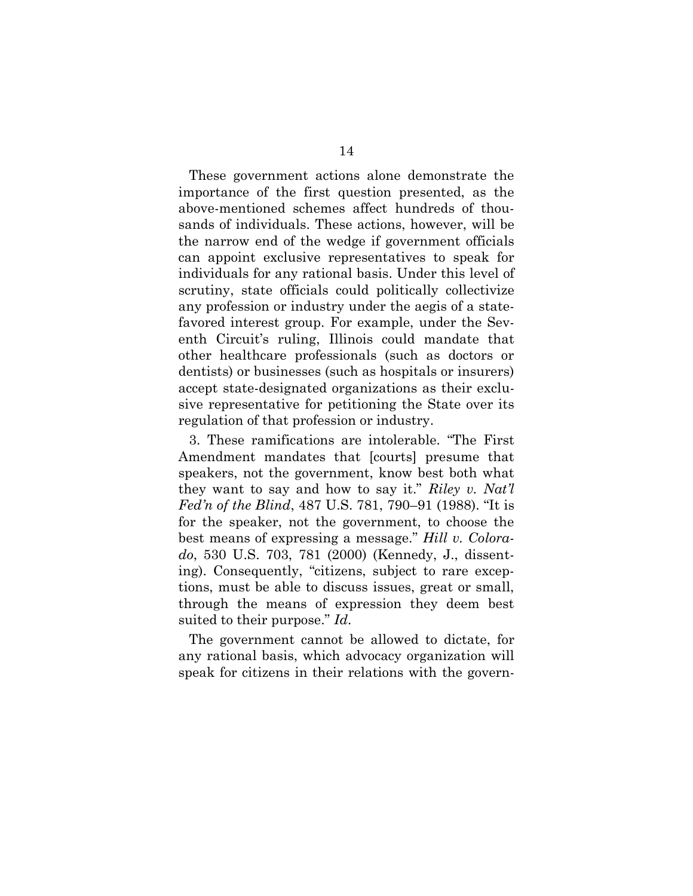These government actions alone demonstrate the importance of the first question presented, as the above-mentioned schemes affect hundreds of thousands of individuals. These actions, however, will be the narrow end of the wedge if government officials can appoint exclusive representatives to speak for individuals for any rational basis. Under this level of scrutiny, state officials could politically collectivize any profession or industry under the aegis of a statefavored interest group. For example, under the Seventh Circuit's ruling, Illinois could mandate that other healthcare professionals (such as doctors or dentists) or businesses (such as hospitals or insurers) accept state-designated organizations as their exclusive representative for petitioning the State over its regulation of that profession or industry.

3. These ramifications are intolerable. "The First Amendment mandates that [courts] presume that speakers, not the government, know best both what they want to say and how to say it." *Riley v. Nat'l Fed'n of the Blind*, 487 U.S. 781, 790–91 (1988). "It is for the speaker, not the government, to choose the best means of expressing a message." *Hill v. Colorado*, 530 U.S. 703, 781 (2000) (Kennedy, J., dissenting). Consequently, "citizens, subject to rare exceptions, must be able to discuss issues, great or small, through the means of expression they deem best suited to their purpose." *Id*.

The government cannot be allowed to dictate, for any rational basis, which advocacy organization will speak for citizens in their relations with the govern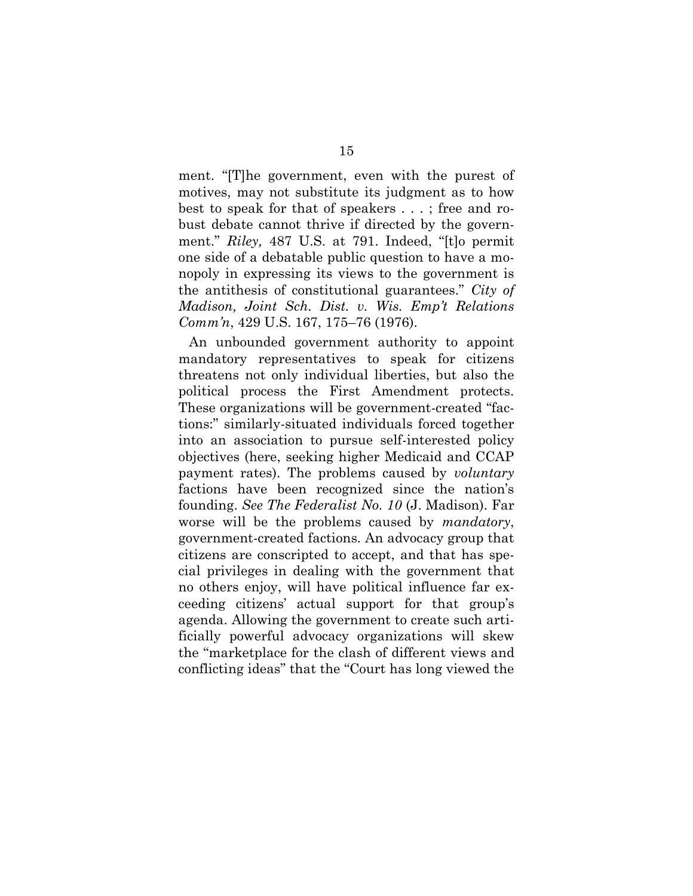ment. "[T]he government, even with the purest of motives, may not substitute its judgment as to how best to speak for that of speakers . . . ; free and robust debate cannot thrive if directed by the government." *Riley,* 487 U.S. at 791. Indeed, "[t]o permit one side of a debatable public question to have a monopoly in expressing its views to the government is the antithesis of constitutional guarantees." *City of Madison, Joint Sch. Dist. v. Wis. Emp't Relations Comm'n*, 429 U.S. 167, 175–76 (1976).

An unbounded government authority to appoint mandatory representatives to speak for citizens threatens not only individual liberties, but also the political process the First Amendment protects. These organizations will be government-created "factions:" similarly-situated individuals forced together into an association to pursue self-interested policy objectives (here, seeking higher Medicaid and CCAP payment rates). The problems caused by *voluntary* factions have been recognized since the nation's founding. *See The Federalist No. 10* (J. Madison). Far worse will be the problems caused by *mandatory*, government-created factions. An advocacy group that citizens are conscripted to accept, and that has special privileges in dealing with the government that no others enjoy, will have political influence far exceeding citizens' actual support for that group's agenda. Allowing the government to create such artificially powerful advocacy organizations will skew the "marketplace for the clash of different views and conflicting ideas" that the "Court has long viewed the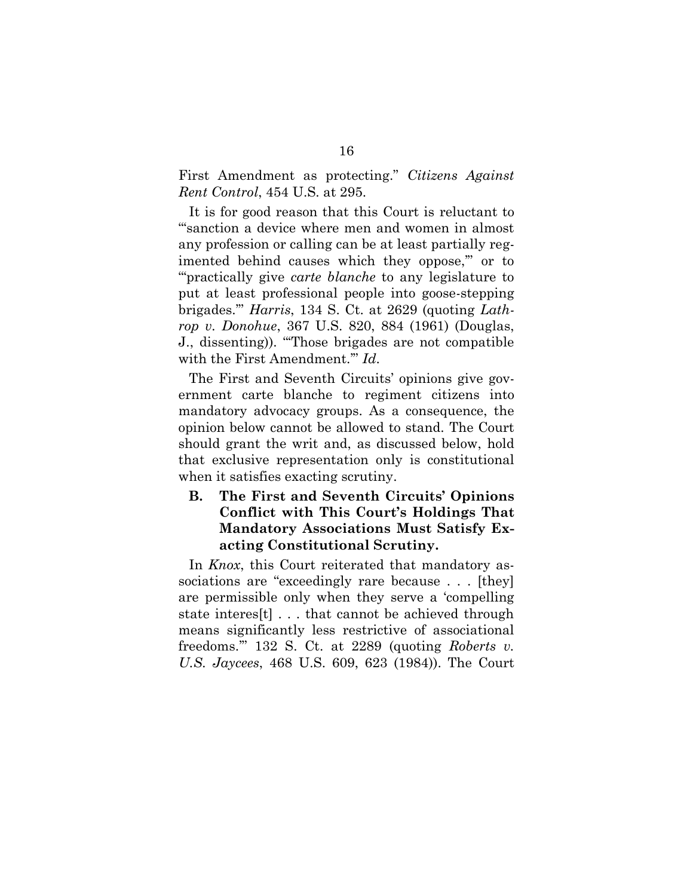First Amendment as protecting." *Citizens Against Rent Control*, 454 U.S. at 295.

It is for good reason that this Court is reluctant to "'sanction a device where men and women in almost any profession or calling can be at least partially regimented behind causes which they oppose," or to "'practically give *carte blanche* to any legislature to put at least professional people into goose-stepping brigades.'" *Harris*, 134 S. Ct. at 2629 (quoting *Lathrop v. Donohue*, 367 U.S. 820, 884 (1961) (Douglas, J., dissenting)). "'Those brigades are not compatible with the First Amendment.'" *Id*.

The First and Seventh Circuits' opinions give government carte blanche to regiment citizens into mandatory advocacy groups. As a consequence, the opinion below cannot be allowed to stand. The Court should grant the writ and, as discussed below, hold that exclusive representation only is constitutional when it satisfies exacting scrutiny.

#### **B. The First and Seventh Circuits' Opinions Conflict with This Court's Holdings That Mandatory Associations Must Satisfy Exacting Constitutional Scrutiny.**

In *Knox*, this Court reiterated that mandatory associations are "exceedingly rare because . . . [they] are permissible only when they serve a 'compelling state interes[t] . . . that cannot be achieved through means significantly less restrictive of associational freedoms.'" 132 S. Ct. at 2289 (quoting *Roberts v. U.S. Jaycees*, 468 U.S. 609, 623 (1984)). The Court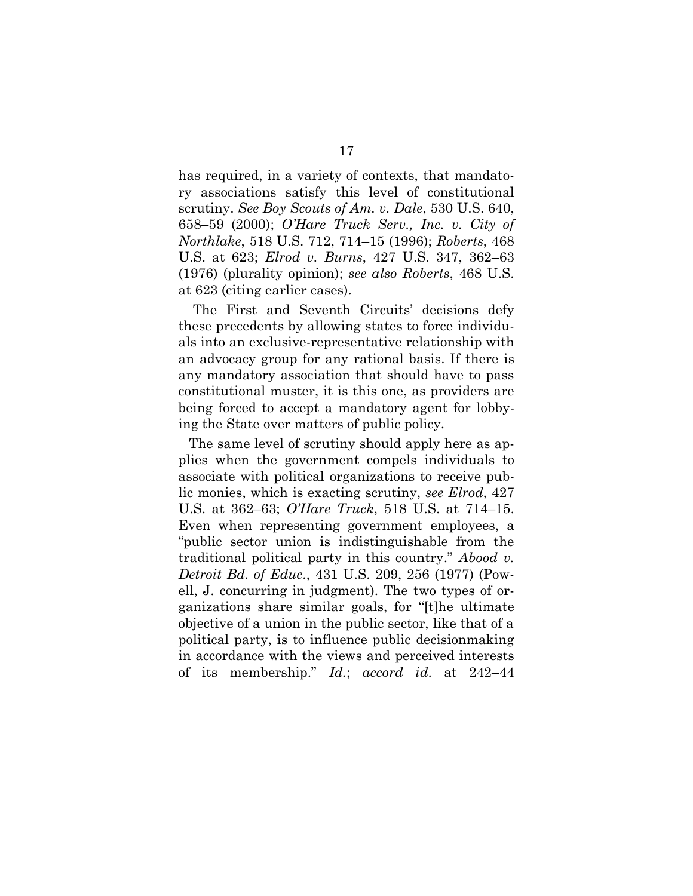has required, in a variety of contexts, that mandatory associations satisfy this level of constitutional scrutiny. *See Boy Scouts of Am. v. Dale*, 530 U.S. 640, 658–59 (2000); *O'Hare Truck Serv., Inc. v. City of Northlake*, 518 U.S. 712, 714–15 (1996); *Roberts*, 468 U.S. at 623; *Elrod v. Burns*, 427 U.S. 347, 362–63 (1976) (plurality opinion); *see also Roberts*, 468 U.S. at 623 (citing earlier cases).

The First and Seventh Circuits' decisions defy these precedents by allowing states to force individuals into an exclusive-representative relationship with an advocacy group for any rational basis. If there is any mandatory association that should have to pass constitutional muster, it is this one, as providers are being forced to accept a mandatory agent for lobbying the State over matters of public policy.

The same level of scrutiny should apply here as applies when the government compels individuals to associate with political organizations to receive public monies, which is exacting scrutiny, *see Elrod*, 427 U.S. at 362–63; *O'Hare Truck*, 518 U.S. at 714–15. Even when representing government employees, a "public sector union is indistinguishable from the traditional political party in this country." *Abood v. Detroit Bd. of Educ*., 431 U.S. 209, 256 (1977) (Powell, J. concurring in judgment). The two types of organizations share similar goals, for "[t]he ultimate objective of a union in the public sector, like that of a political party, is to influence public decisionmaking in accordance with the views and perceived interests of its membership." *Id.*; *accord id*. at 242–44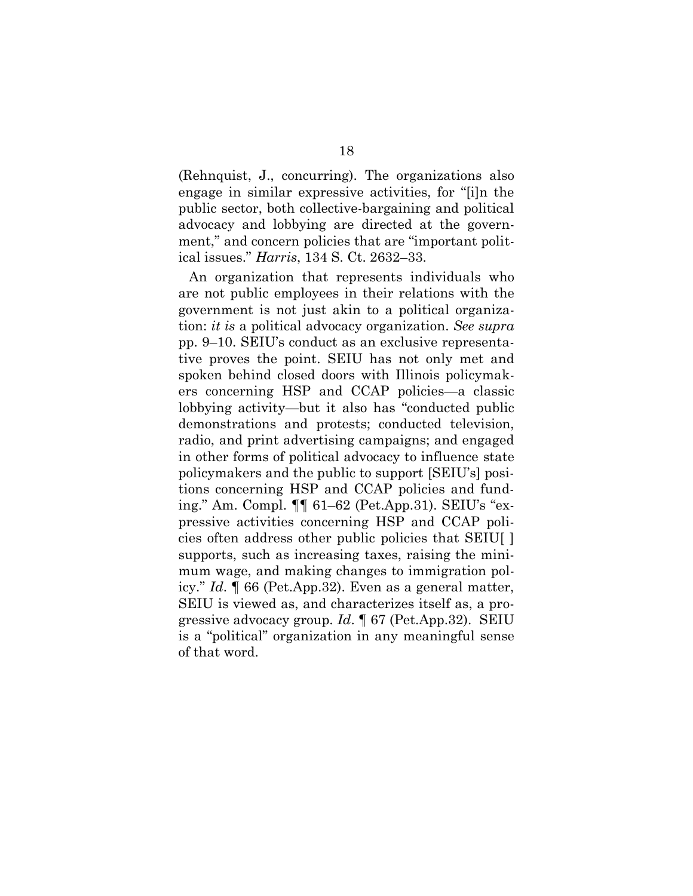(Rehnquist, J., concurring). The organizations also engage in similar expressive activities, for "[i]n the public sector, both collective-bargaining and political advocacy and lobbying are directed at the government," and concern policies that are "important political issues." *Harris*, 134 S. Ct. 2632–33.

An organization that represents individuals who are not public employees in their relations with the government is not just akin to a political organization: *it is* a political advocacy organization. *See supra*  pp. 9–10. SEIU's conduct as an exclusive representative proves the point. SEIU has not only met and spoken behind closed doors with Illinois policymakers concerning HSP and CCAP policies—a classic lobbying activity—but it also has "conducted public demonstrations and protests; conducted television, radio, and print advertising campaigns; and engaged in other forms of political advocacy to influence state policymakers and the public to support [SEIU's] positions concerning HSP and CCAP policies and funding." Am. Compl. ¶¶ 61–62 (Pet.App.31). SEIU's "expressive activities concerning HSP and CCAP policies often address other public policies that SEIU[ ] supports, such as increasing taxes, raising the minimum wage, and making changes to immigration policy." *Id*. ¶ 66 (Pet.App.32). Even as a general matter, SEIU is viewed as, and characterizes itself as, a progressive advocacy group. *Id*. ¶ 67 (Pet.App.32). SEIU is a "political" organization in any meaningful sense of that word.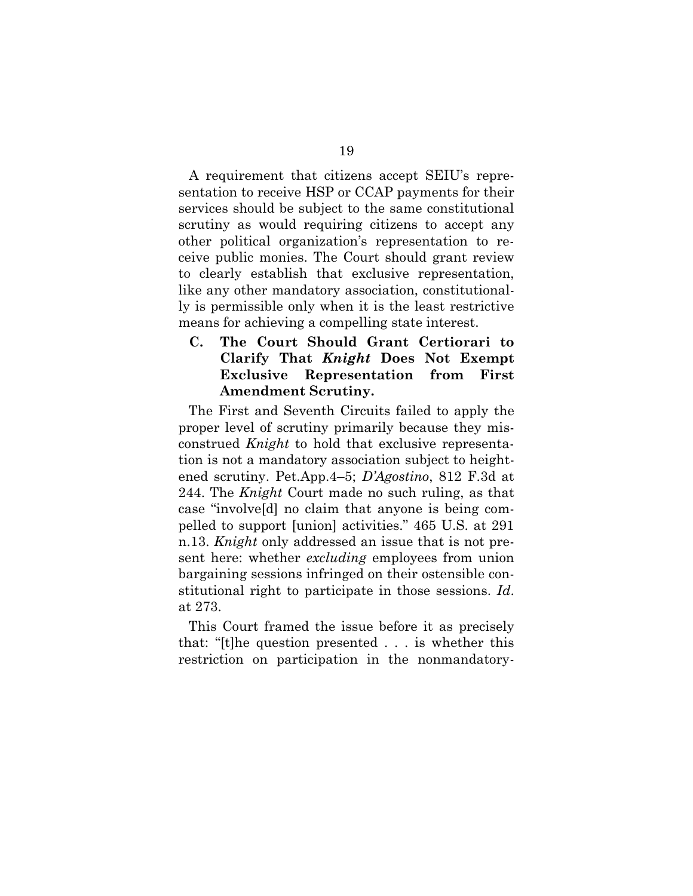A requirement that citizens accept SEIU's representation to receive HSP or CCAP payments for their services should be subject to the same constitutional scrutiny as would requiring citizens to accept any other political organization's representation to receive public monies. The Court should grant review to clearly establish that exclusive representation, like any other mandatory association, constitutionally is permissible only when it is the least restrictive means for achieving a compelling state interest.

**C. The Court Should Grant Certiorari to Clarify That** *Knight* **Does Not Exempt Exclusive Representation from First Amendment Scrutiny.** 

The First and Seventh Circuits failed to apply the proper level of scrutiny primarily because they misconstrued *Knight* to hold that exclusive representation is not a mandatory association subject to heightened scrutiny. Pet.App.4–5; *D'Agostino*, 812 F.3d at 244. The *Knight* Court made no such ruling, as that case "involve[d] no claim that anyone is being compelled to support [union] activities." 465 U.S. at 291 n.13. *Knight* only addressed an issue that is not present here: whether *excluding* employees from union bargaining sessions infringed on their ostensible constitutional right to participate in those sessions. *Id*. at 273.

This Court framed the issue before it as precisely that: "[t]he question presented . . . is whether this restriction on participation in the nonmandatory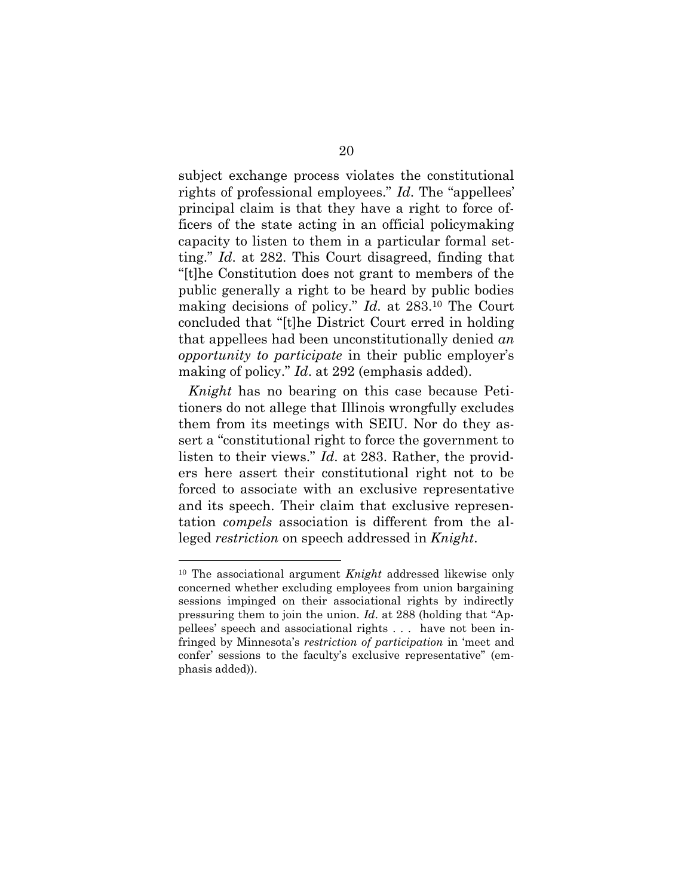subject exchange process violates the constitutional rights of professional employees." *Id*. The "appellees' principal claim is that they have a right to force officers of the state acting in an official policymaking capacity to listen to them in a particular formal setting." *Id*. at 282. This Court disagreed, finding that "[t]he Constitution does not grant to members of the public generally a right to be heard by public bodies making decisions of policy." *Id*. at 283.<sup>10</sup> The Court concluded that "[t]he District Court erred in holding that appellees had been unconstitutionally denied *an opportunity to participate* in their public employer's making of policy." *Id*. at 292 (emphasis added).

*Knight* has no bearing on this case because Petitioners do not allege that Illinois wrongfully excludes them from its meetings with SEIU. Nor do they assert a "constitutional right to force the government to listen to their views." *Id*. at 283. Rather, the providers here assert their constitutional right not to be forced to associate with an exclusive representative and its speech. Their claim that exclusive representation *compels* association is different from the alleged *restriction* on speech addressed in *Knight*.

l

<sup>10</sup> The associational argument *Knight* addressed likewise only concerned whether excluding employees from union bargaining sessions impinged on their associational rights by indirectly pressuring them to join the union. *Id*. at 288 (holding that "Appellees' speech and associational rights . . . have not been infringed by Minnesota's *restriction of participation* in 'meet and confer' sessions to the faculty's exclusive representative" (emphasis added)).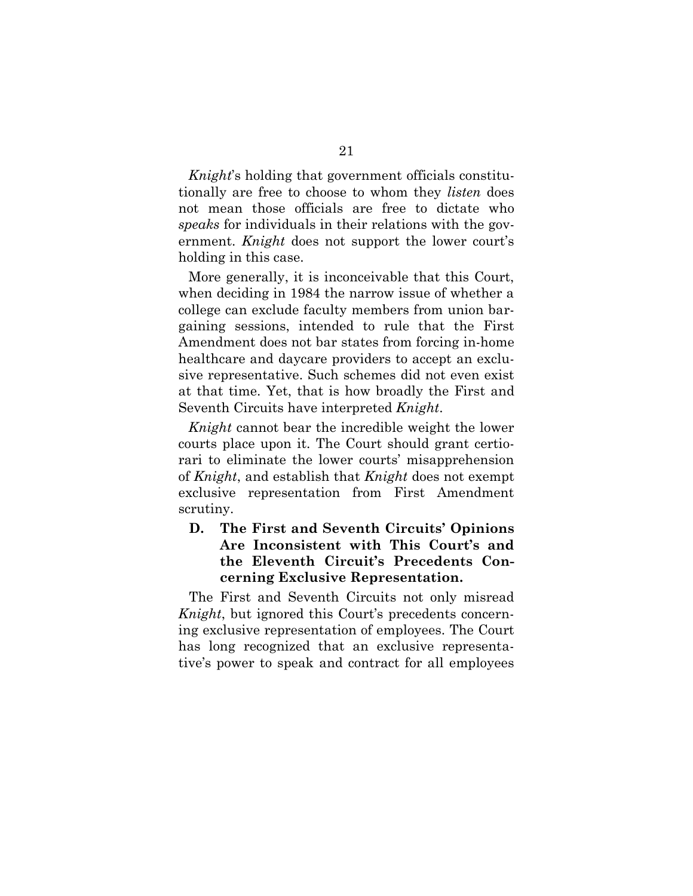*Knight*'s holding that government officials constitutionally are free to choose to whom they *listen* does not mean those officials are free to dictate who *speaks* for individuals in their relations with the government. *Knight* does not support the lower court's holding in this case.

More generally, it is inconceivable that this Court, when deciding in 1984 the narrow issue of whether a college can exclude faculty members from union bargaining sessions, intended to rule that the First Amendment does not bar states from forcing in-home healthcare and daycare providers to accept an exclusive representative. Such schemes did not even exist at that time. Yet, that is how broadly the First and Seventh Circuits have interpreted *Knight*.

*Knight* cannot bear the incredible weight the lower courts place upon it. The Court should grant certiorari to eliminate the lower courts' misapprehension of *Knight*, and establish that *Knight* does not exempt exclusive representation from First Amendment scrutiny.

#### **D. The First and Seventh Circuits' Opinions Are Inconsistent with This Court's and the Eleventh Circuit's Precedents Concerning Exclusive Representation.**

The First and Seventh Circuits not only misread *Knight*, but ignored this Court's precedents concerning exclusive representation of employees. The Court has long recognized that an exclusive representative's power to speak and contract for all employees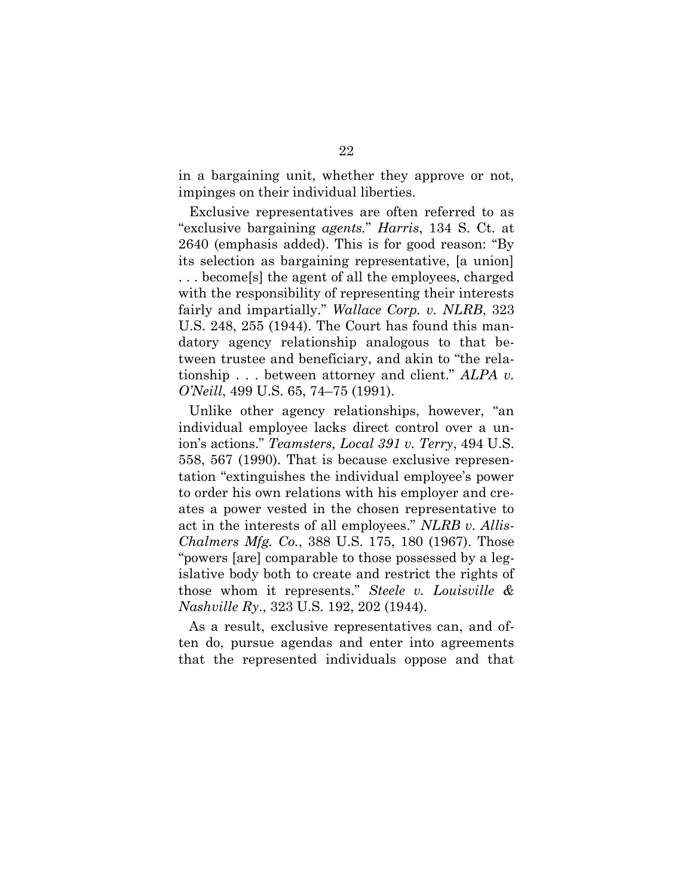in a bargaining unit, whether they approve or not, impinges on their individual liberties.

Exclusive representatives are often referred to as "exclusive bargaining *agents.*" *Harris*, 134 S. Ct. at 2640 (emphasis added). This is for good reason: "By its selection as bargaining representative, [a union] . . . become[s] the agent of all the employees, charged with the responsibility of representing their interests fairly and impartially." *Wallace Corp. v. NLRB*, 323 U.S. 248, 255 (1944). The Court has found this mandatory agency relationship analogous to that between trustee and beneficiary, and akin to "the relationship . . . between attorney and client." *ALPA v. O'Neill*, 499 U.S. 65, 74–75 (1991).

Unlike other agency relationships, however, "an individual employee lacks direct control over a union's actions." *Teamsters, Local 391 v. Terry*, 494 U.S. 558, 567 (1990). That is because exclusive representation "extinguishes the individual employee's power to order his own relations with his employer and creates a power vested in the chosen representative to act in the interests of all employees." *NLRB v. Allis-Chalmers Mfg. Co.*, 388 U.S. 175, 180 (1967). Those "powers [are] comparable to those possessed by a legislative body both to create and restrict the rights of those whom it represents." *Steele v. Louisville & Nashville Ry*., 323 U.S. 192, 202 (1944).

As a result, exclusive representatives can, and often do, pursue agendas and enter into agreements that the represented individuals oppose and that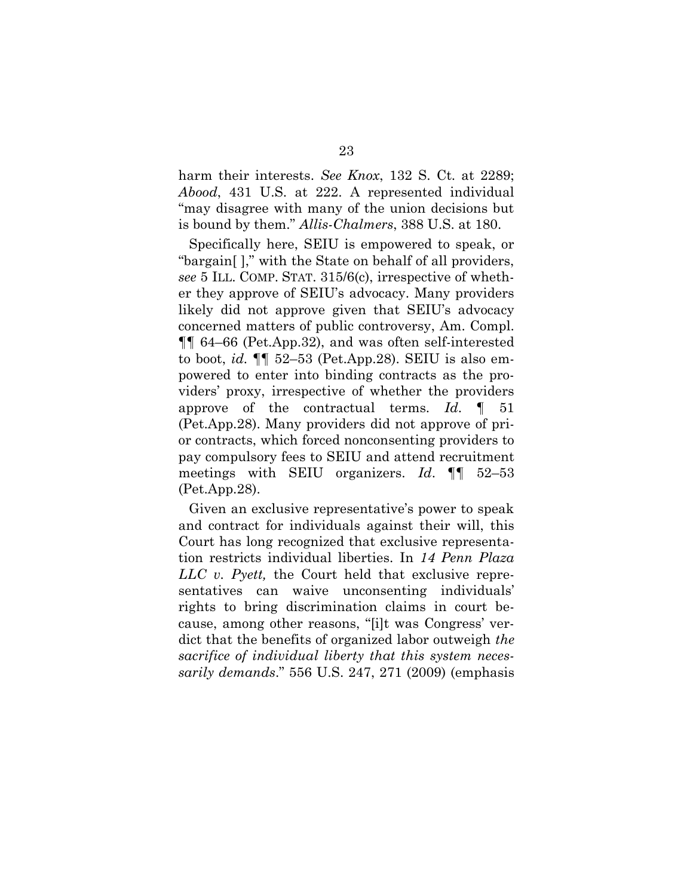harm their interests. *See Knox*, 132 S. Ct. at 2289; *Abood*, 431 U.S. at 222. A represented individual "may disagree with many of the union decisions but is bound by them." *Allis-Chalmers*, 388 U.S. at 180.

Specifically here, SEIU is empowered to speak, or "bargain[ ]," with the State on behalf of all providers, *see* 5 ILL. COMP. STAT. 315/6(c), irrespective of whether they approve of SEIU's advocacy. Many providers likely did not approve given that SEIU's advocacy concerned matters of public controversy, Am. Compl. ¶¶ 64–66 (Pet.App.32), and was often self-interested to boot, *id.* ¶¶ 52–53 (Pet.App.28). SEIU is also empowered to enter into binding contracts as the providers' proxy, irrespective of whether the providers approve of the contractual terms. *Id*. ¶ 51 (Pet.App.28). Many providers did not approve of prior contracts, which forced nonconsenting providers to pay compulsory fees to SEIU and attend recruitment meetings with SEIU organizers. *Id*. ¶¶ 52–53 (Pet.App.28).

Given an exclusive representative's power to speak and contract for individuals against their will, this Court has long recognized that exclusive representation restricts individual liberties. In *14 Penn Plaza LLC v. Pyett,* the Court held that exclusive representatives can waive unconsenting individuals' rights to bring discrimination claims in court because, among other reasons, "[i]t was Congress' verdict that the benefits of organized labor outweigh *the sacrifice of individual liberty that this system necessarily demands*." 556 U.S. 247, 271 (2009) (emphasis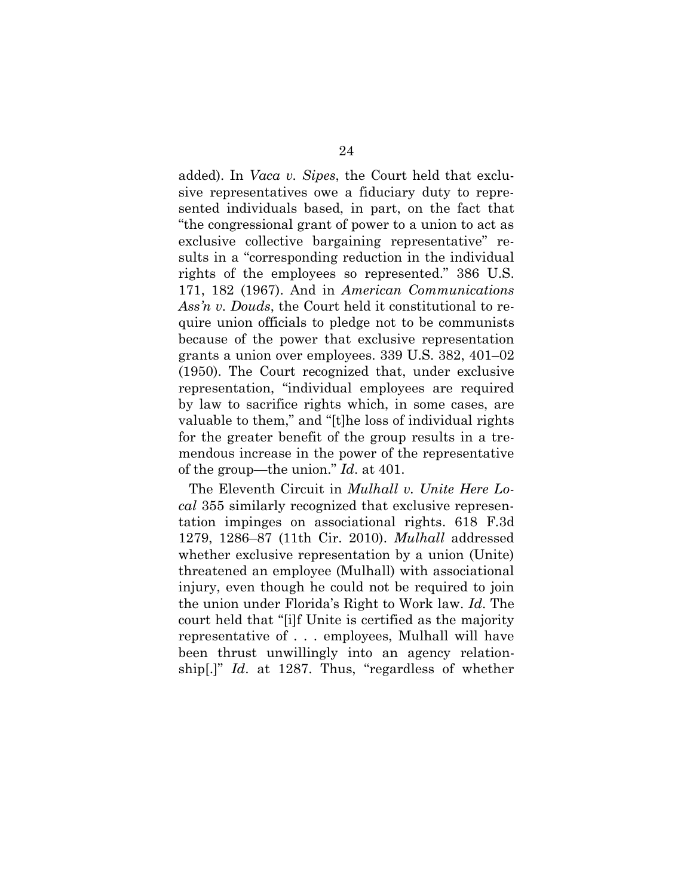added). In *Vaca v. Sipes*, the Court held that exclusive representatives owe a fiduciary duty to represented individuals based, in part, on the fact that "the congressional grant of power to a union to act as exclusive collective bargaining representative" results in a "corresponding reduction in the individual rights of the employees so represented." 386 U.S. 171, 182 (1967). And in *American Communications Ass'n v. Douds*, the Court held it constitutional to require union officials to pledge not to be communists because of the power that exclusive representation grants a union over employees. 339 U.S. 382, 401–02 (1950). The Court recognized that, under exclusive representation, "individual employees are required by law to sacrifice rights which, in some cases, are valuable to them," and "[t]he loss of individual rights for the greater benefit of the group results in a tremendous increase in the power of the representative of the group—the union." *Id*. at 401.

The Eleventh Circuit in *Mulhall v. Unite Here Local* 355 similarly recognized that exclusive representation impinges on associational rights. 618 F.3d 1279, 1286–87 (11th Cir. 2010). *Mulhall* addressed whether exclusive representation by a union (Unite) threatened an employee (Mulhall) with associational injury, even though he could not be required to join the union under Florida's Right to Work law. *Id*. The court held that "[i]f Unite is certified as the majority representative of . . . employees, Mulhall will have been thrust unwillingly into an agency relationship[.]" *Id*. at 1287. Thus, "regardless of whether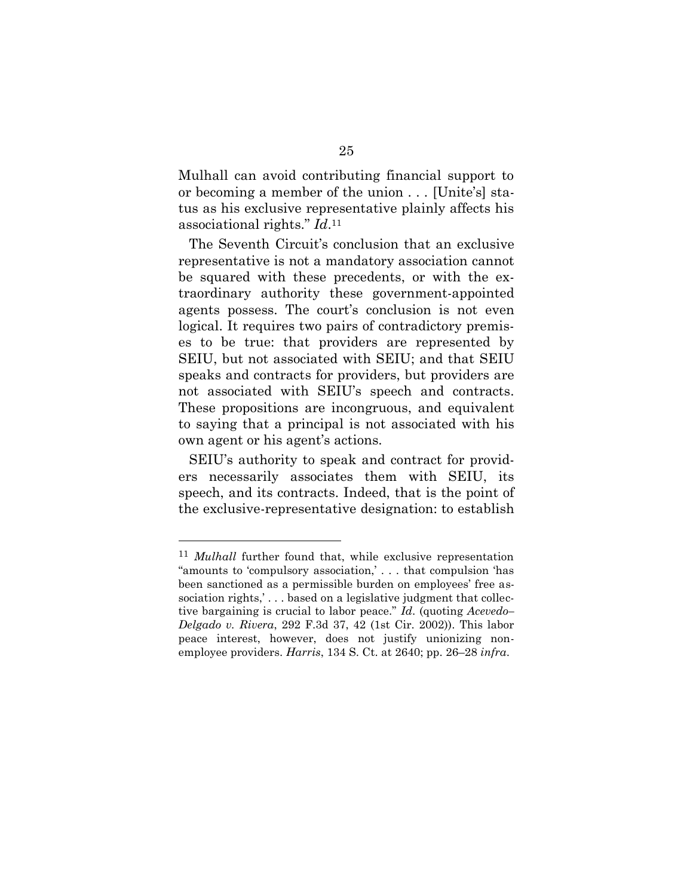Mulhall can avoid contributing financial support to or becoming a member of the union . . . [Unite's] status as his exclusive representative plainly affects his associational rights." *Id*. 11

The Seventh Circuit's conclusion that an exclusive representative is not a mandatory association cannot be squared with these precedents, or with the extraordinary authority these government-appointed agents possess. The court's conclusion is not even logical. It requires two pairs of contradictory premises to be true: that providers are represented by SEIU, but not associated with SEIU; and that SEIU speaks and contracts for providers, but providers are not associated with SEIU's speech and contracts. These propositions are incongruous, and equivalent to saying that a principal is not associated with his own agent or his agent's actions.

SEIU's authority to speak and contract for providers necessarily associates them with SEIU, its speech, and its contracts. Indeed, that is the point of the exclusive-representative designation: to establish

<sup>11</sup> *Mulhall* further found that, while exclusive representation "amounts to 'compulsory association,' . . . that compulsion 'has been sanctioned as a permissible burden on employees' free association rights,'... based on a legislative judgment that collective bargaining is crucial to labor peace." *Id*. (quoting *Acevedo– Delgado v. Rivera*, 292 F.3d 37, 42 (1st Cir. 2002)). This labor peace interest, however, does not justify unionizing nonemployee providers. *Harris*, 134 S. Ct. at 2640; pp. 26–28 *infra*.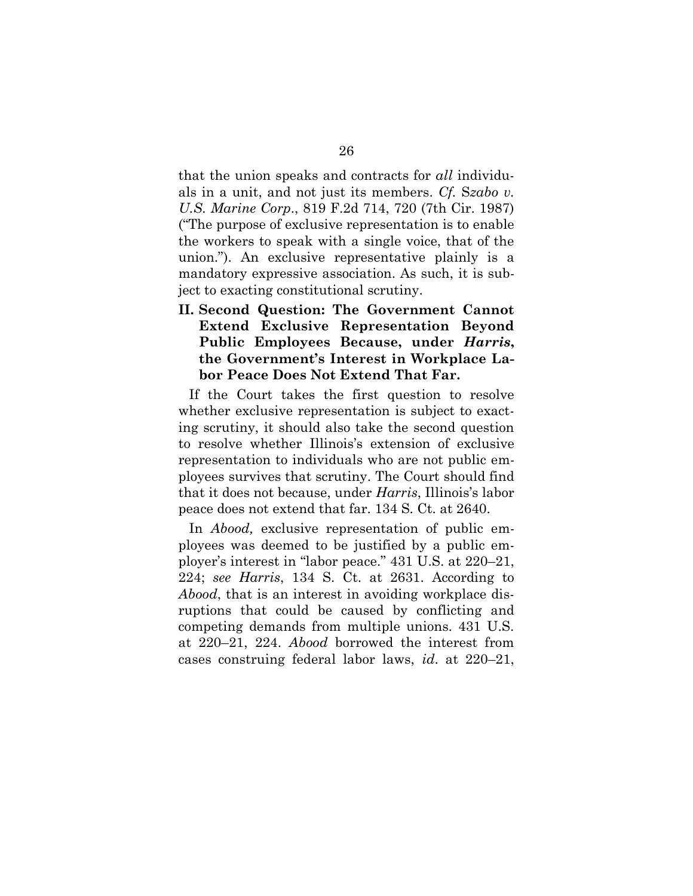that the union speaks and contracts for *all* individuals in a unit, and not just its members. *Cf.* S*zabo v. U.S. Marine Corp*., 819 F.2d 714, 720 (7th Cir. 1987) ("The purpose of exclusive representation is to enable the workers to speak with a single voice, that of the union."). An exclusive representative plainly is a mandatory expressive association. As such, it is subject to exacting constitutional scrutiny.

**II. Second Question: The Government Cannot Extend Exclusive Representation Beyond Public Employees Because, under** *Harris***, the Government's Interest in Workplace Labor Peace Does Not Extend That Far.** 

If the Court takes the first question to resolve whether exclusive representation is subject to exacting scrutiny, it should also take the second question to resolve whether Illinois's extension of exclusive representation to individuals who are not public employees survives that scrutiny. The Court should find that it does not because, under *Harris*, Illinois's labor peace does not extend that far. 134 S. Ct. at 2640.

In *Abood,* exclusive representation of public employees was deemed to be justified by a public employer's interest in "labor peace." 431 U.S. at 220–21, 224; *see Harris*, 134 S. Ct. at 2631. According to *Abood*, that is an interest in avoiding workplace disruptions that could be caused by conflicting and competing demands from multiple unions. 431 U.S. at 220–21, 224. *Abood* borrowed the interest from cases construing federal labor laws, *id*. at 220–21,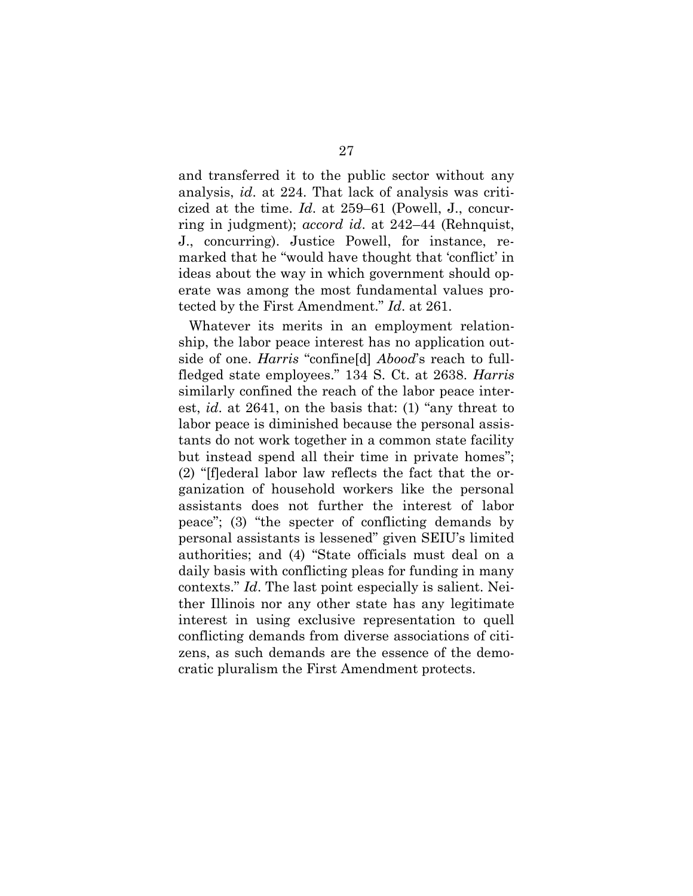and transferred it to the public sector without any analysis, *id*. at 224. That lack of analysis was criticized at the time. *Id*. at 259–61 (Powell, J., concurring in judgment); *accord id*. at 242–44 (Rehnquist, J., concurring). Justice Powell, for instance, remarked that he "would have thought that 'conflict' in ideas about the way in which government should operate was among the most fundamental values protected by the First Amendment." *Id*. at 261.

Whatever its merits in an employment relationship, the labor peace interest has no application outside of one. *Harris* "confine[d] *Abood*'s reach to fullfledged state employees." 134 S. Ct. at 2638. *Harris* similarly confined the reach of the labor peace interest, *id*. at 2641, on the basis that: (1) "any threat to labor peace is diminished because the personal assistants do not work together in a common state facility but instead spend all their time in private homes"; (2) "[f]ederal labor law reflects the fact that the organization of household workers like the personal assistants does not further the interest of labor peace"; (3) "the specter of conflicting demands by personal assistants is lessened" given SEIU's limited authorities; and (4) "State officials must deal on a daily basis with conflicting pleas for funding in many contexts." *Id*. The last point especially is salient. Neither Illinois nor any other state has any legitimate interest in using exclusive representation to quell conflicting demands from diverse associations of citizens, as such demands are the essence of the democratic pluralism the First Amendment protects.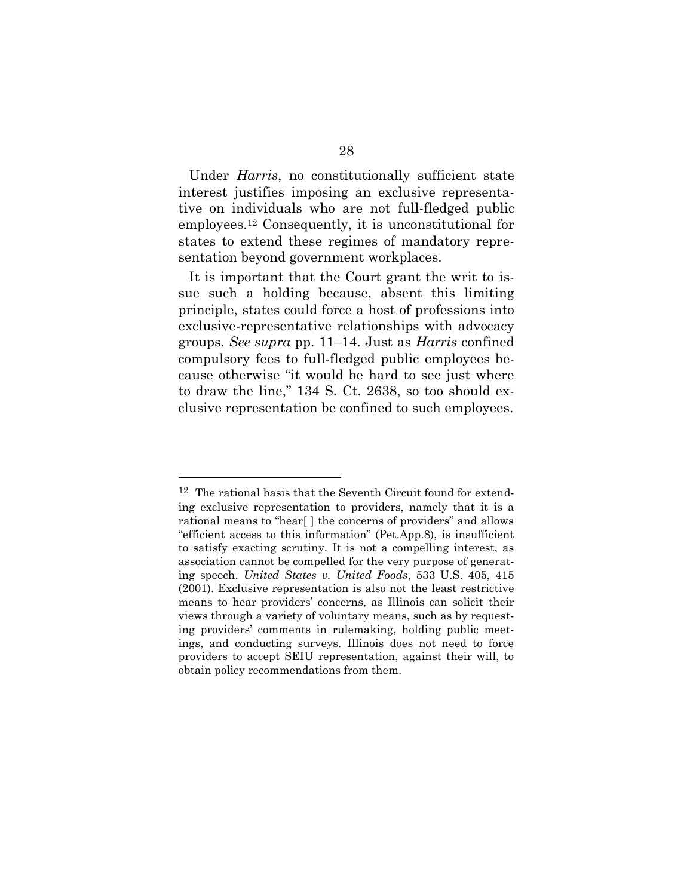Under *Harris*, no constitutionally sufficient state interest justifies imposing an exclusive representative on individuals who are not full-fledged public employees. <sup>12</sup> Consequently, it is unconstitutional for states to extend these regimes of mandatory representation beyond government workplaces.

It is important that the Court grant the writ to issue such a holding because, absent this limiting principle, states could force a host of professions into exclusive-representative relationships with advocacy groups. *See supra* pp. 11–14. Just as *Harris* confined compulsory fees to full-fledged public employees because otherwise "it would be hard to see just where to draw the line," 134 S. Ct. 2638, so too should exclusive representation be confined to such employees.

<sup>12</sup> The rational basis that the Seventh Circuit found for extending exclusive representation to providers, namely that it is a rational means to "hear[ ] the concerns of providers" and allows "efficient access to this information" (Pet.App.8), is insufficient to satisfy exacting scrutiny. It is not a compelling interest, as association cannot be compelled for the very purpose of generating speech. *United States v. United Foods*, 533 U.S. 405, 415 (2001). Exclusive representation is also not the least restrictive means to hear providers' concerns, as Illinois can solicit their views through a variety of voluntary means, such as by requesting providers' comments in rulemaking, holding public meetings, and conducting surveys. Illinois does not need to force providers to accept SEIU representation, against their will, to obtain policy recommendations from them.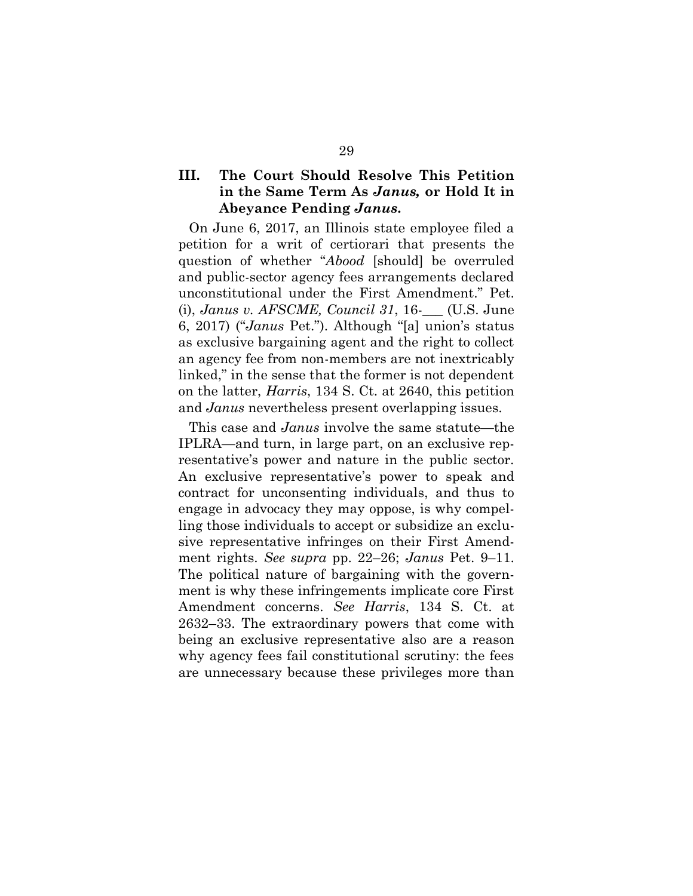### **III. The Court Should Resolve This Petition in the Same Term As** *Janus,* **or Hold It in Abeyance Pending** *Janus***.**

On June 6, 2017, an Illinois state employee filed a petition for a writ of certiorari that presents the question of whether "*Abood* [should] be overruled and public-sector agency fees arrangements declared unconstitutional under the First Amendment." Pet. (i), *Janus v. AFSCME, Council 31*, 16-\_\_\_ (U.S. June 6, 2017) ("*Janus* Pet."). Although "[a] union's status as exclusive bargaining agent and the right to collect an agency fee from non-members are not inextricably linked," in the sense that the former is not dependent on the latter, *Harris*, 134 S. Ct. at 2640, this petition and *Janus* nevertheless present overlapping issues.

This case and *Janus* involve the same statute—the IPLRA—and turn, in large part, on an exclusive representative's power and nature in the public sector. An exclusive representative's power to speak and contract for unconsenting individuals, and thus to engage in advocacy they may oppose, is why compelling those individuals to accept or subsidize an exclusive representative infringes on their First Amendment rights. *See supra* pp. 22–26; *Janus* Pet. 9–11. The political nature of bargaining with the government is why these infringements implicate core First Amendment concerns. *See Harris*, 134 S. Ct. at 2632–33. The extraordinary powers that come with being an exclusive representative also are a reason why agency fees fail constitutional scrutiny: the fees are unnecessary because these privileges more than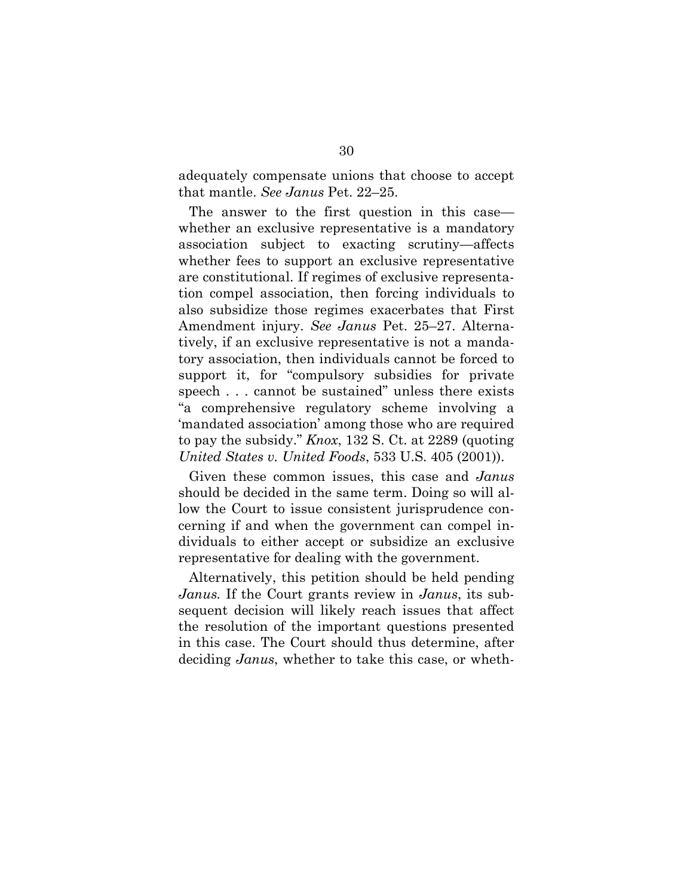adequately compensate unions that choose to accept that mantle. *See Janus* Pet. 22–25.

The answer to the first question in this case whether an exclusive representative is a mandatory association subject to exacting scrutiny—affects whether fees to support an exclusive representative are constitutional. If regimes of exclusive representation compel association, then forcing individuals to also subsidize those regimes exacerbates that First Amendment injury. *See Janus* Pet. 25–27. Alternatively, if an exclusive representative is not a mandatory association, then individuals cannot be forced to support it, for "compulsory subsidies for private speech . . . cannot be sustained" unless there exists "a comprehensive regulatory scheme involving a 'mandated association' among those who are required to pay the subsidy." *Knox*, 132 S. Ct. at 2289 (quoting *United States v. United Foods*, 533 U.S. 405 (2001)).

Given these common issues, this case and *Janus* should be decided in the same term. Doing so will allow the Court to issue consistent jurisprudence concerning if and when the government can compel individuals to either accept or subsidize an exclusive representative for dealing with the government.

Alternatively, this petition should be held pending *Janus.* If the Court grants review in *Janus*, its subsequent decision will likely reach issues that affect the resolution of the important questions presented in this case. The Court should thus determine, after deciding *Janus*, whether to take this case, or wheth